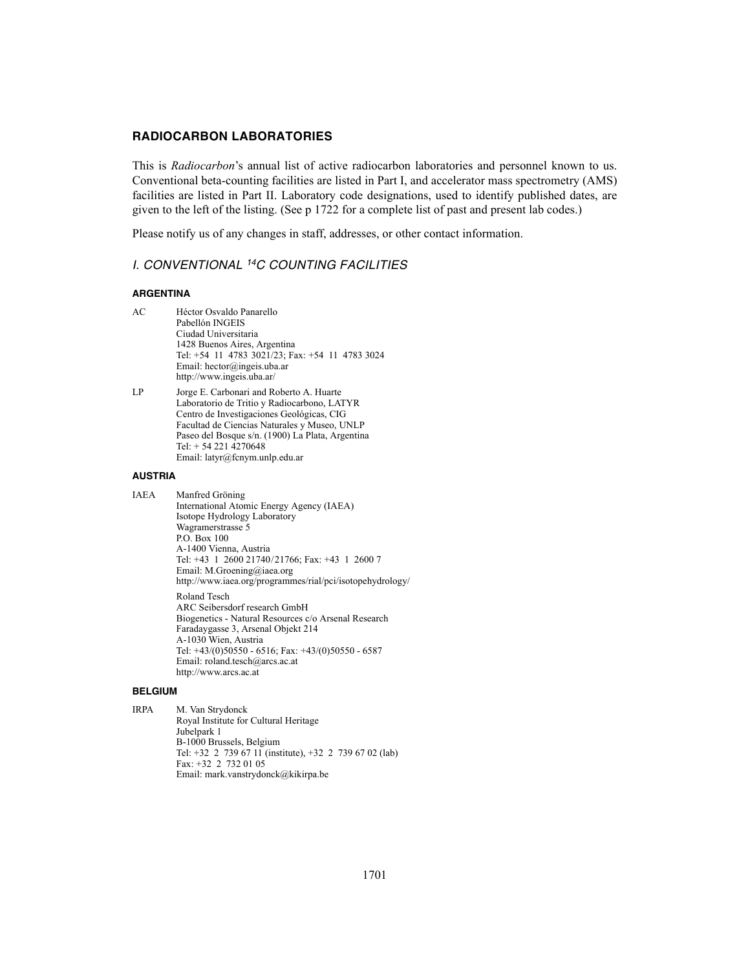## **RADIOCARBON LABORATORIES**

This is *Radiocarbon*'s annual list of active radiocarbon laboratories and personnel known to us. Conventional beta-counting facilities are listed in Part I, and accelerator mass spectrometry (AMS) facilities are listed in Part II. Laboratory code designations, used to identify published dates, are given to the left of the listing. (See p 1722 for a complete list of past and present lab codes.)

Please notify us of any changes in staff, addresses, or other contact information.

## *I. CONVENTIONAL 14C COUNTING FACILITIES*

### **ARGENTINA**

- AC Héctor Osvaldo Panarello Pabellón INGEIS Ciudad Universitaria 1428 Buenos Aires, Argentina Tel: +54 11 4783 3021/23; Fax: +54 11 4783 3024 Email: hector@ingeis.uba.ar http://www.ingeis.uba.ar/
- LP Jorge E. Carbonari and Roberto A. Huarte Laboratorio de Tritio y Radiocarbono, LATYR Centro de Investigaciones Geológicas, CIG Facultad de Ciencias Naturales y Museo, UNLP Paseo del Bosque s/n. (1900) La Plata, Argentina Tel: + 54 221 4270648 Email: latyr@fcnym.unlp.edu.ar

#### **AUSTRIA**

IAEA Manfred Gröning International Atomic Energy Agency (IAEA) Isotope Hydrology Laboratory Wagramerstrasse 5 P.O. Box 100 A-1400 Vienna, Austria Tel: +43 1 2600 21740/21766; Fax: +43 1 2600 7 Email: M.Groening@iaea.org http://www.iaea.org/programmes/rial/pci/isotopehydrology/ Roland Tesch ARC Seibersdorf research GmbH Biogenetics - Natural Resources c/o Arsenal Research Faradaygasse 3, Arsenal Objekt 214 A-1030 Wien, Austria Tel: +43/(0)50550 - 6516; Fax: +43/(0)50550 - 6587 Email: roland.tesch@arcs.ac.at http://www.arcs.ac.at

#### **BELGIUM**

IRPA M. Van Strydonck Royal Institute for Cultural Heritage Jubelpark 1 B-1000 Brussels, Belgium Tel: +32 2 739 67 11 (institute), +32 2 739 67 02 (lab) Fax: +32 2 732 01 05 Email: mark.vanstrydonck@kikirpa.be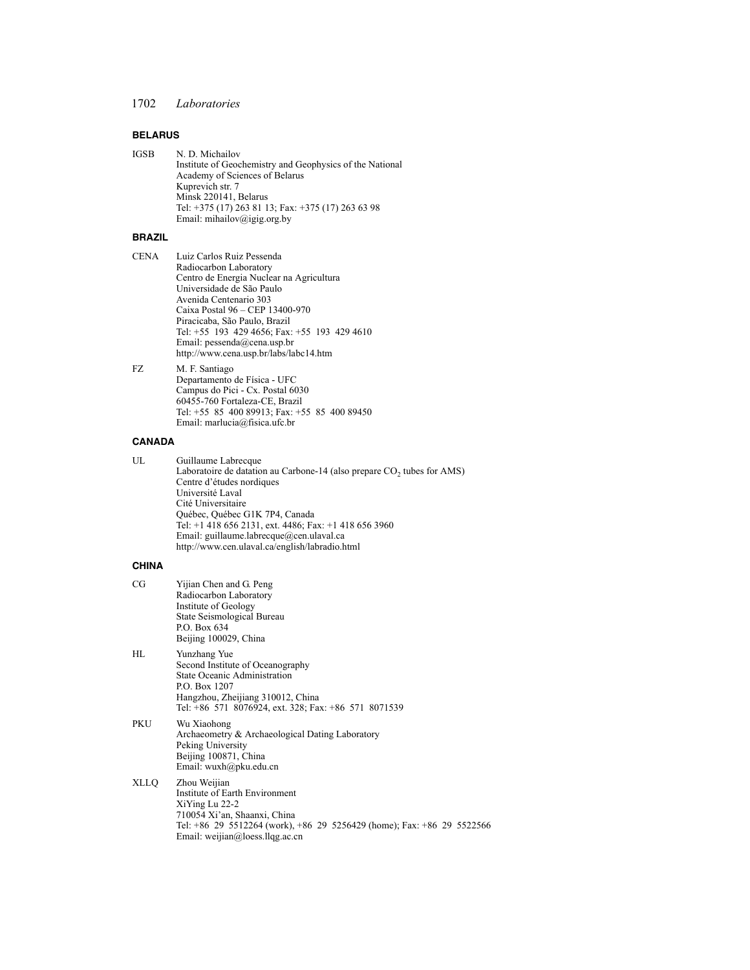## **BELARUS**

| IGSB | N. D. Michailov                                          |
|------|----------------------------------------------------------|
|      | Institute of Geochemistry and Geophysics of the National |
|      | Academy of Sciences of Belarus                           |
|      | Kuprevich str. 7                                         |
|      | Minsk 220141, Belarus                                    |
|      | Tel: +375 (17) 263 81 13; Fax: +375 (17) 263 63 98       |
|      | Email: mihailov@igig.org.by                              |
|      |                                                          |

## **BRAZIL**

| CENA | Luiz Carlos Ruiz Pessenda                    |
|------|----------------------------------------------|
|      | Radiocarbon Laboratory                       |
|      | Centro de Energia Nuclear na Agricultura     |
|      | Universidade de São Paulo                    |
|      | Avenida Centenario 303                       |
|      | Caixa Postal 96 – CEP 13400-970              |
|      | Piracicaba, São Paulo, Brazil                |
|      | Tel: +55 193 429 4656; Fax: +55 193 429 4610 |
|      | Email: pessenda@cena.usp.br                  |
|      | http://www.cena.usp.br/labs/labc14.htm       |
|      |                                              |

#### FZ M. F. Santiago Departamento de Física - UFC Campus do Pici - Cx. Postal 6030 60455-760 Fortaleza-CE, Brazil Tel: +55 85 400 89913; Fax: +55 85 400 89450 Email: marlucia@fisica.ufc.br

# **CANADA**

| UL | Guillaume Labrecque                                                                |
|----|------------------------------------------------------------------------------------|
|    | Laboratoire de datation au Carbone-14 (also prepare CO <sub>2</sub> tubes for AMS) |
|    | Centre d'études nordiques                                                          |
|    | Université Laval                                                                   |
|    | Cité Universitaire                                                                 |
|    | Québec, Québec G1K 7P4, Canada                                                     |
|    | Tel: +1 418 656 2131, ext. 4486; Fax: +1 418 656 3960                              |
|    | Email: guillaume.labrecque@cen.ulaval.ca                                           |
|    | http://www.cen.ulaval.ca/english/labradio.html                                     |

# **CHINA**

| CG   | Yijian Chen and G. Peng<br>Radiocarbon Laboratory<br>Institute of Geology<br>State Seismological Bureau<br>P.O. Box 634<br>Beijing 100029, China                                                              |
|------|---------------------------------------------------------------------------------------------------------------------------------------------------------------------------------------------------------------|
| HL   | Yunzhang Yue<br>Second Institute of Oceanography<br><b>State Oceanic Administration</b><br>P.O. Box 1207<br>Hangzhou, Zheijiang 310012, China<br>Tel: +86 571 8076924, ext. 328; Fax: +86 571 8071539         |
| PKU  | Wu Xiaohong<br>Archaeometry & Archaeological Dating Laboratory<br>Peking University<br>Beijing 100871, China<br>Email: wuxh@pku.edu.cn                                                                        |
| XLLQ | Zhou Weijian<br>Institute of Earth Environment<br>XiYing Lu 22-2<br>710054 Xi'an, Shaanxi, China<br>Tel: +86 29 5512264 (work), +86 29 5256429 (home); Fax: +86 29 5522566<br>Email: weijian@loess.llqg.ac.cn |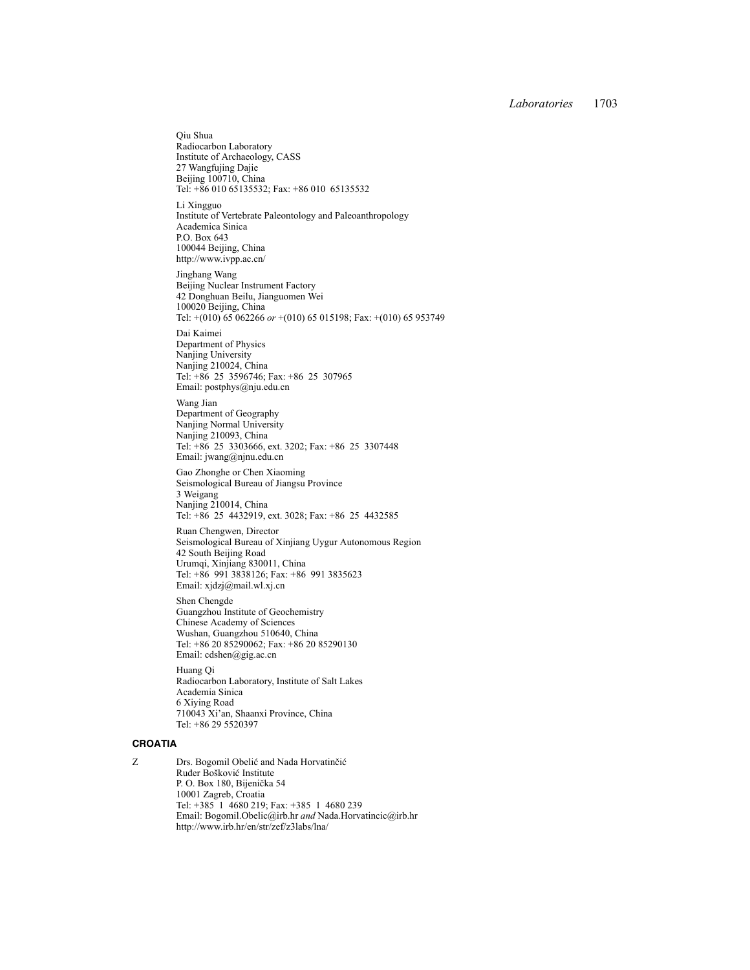Qiu Shua Radiocarbon Laboratory Institute of Archaeology, CASS 27 Wangfujing Dajie Beijing 100710, China Tel: +86 010 65135532; Fax: +86 010 65135532

Li Xingguo Institute of Vertebrate Paleontology and Paleoanthropology Academica Sinica P.O. Box 643 100044 Beijing, China http://www.ivpp.ac.cn/

Jinghang Wang Beijing Nuclear Instrument Factory 42 Donghuan Beilu, Jianguomen Wei 100020 Beijing, China Tel: +(010) 65 062266 *or* +(010) 65 015198; Fax: +(010) 65 953749

Dai Kaimei Department of Physics Nanjing University Nanjing 210024, China Tel: +86 25 3596746; Fax: +86 25 307965 Email: postphys@nju.edu.cn

Wang Jian Department of Geography Nanjing Normal University Nanjing 210093, China Tel: +86 25 3303666, ext. 3202; Fax: +86 25 3307448 Email: jwang@njnu.edu.cn

Gao Zhonghe or Chen Xiaoming Seismological Bureau of Jiangsu Province 3 Weigang Nanjing 210014, China Tel: +86 25 4432919, ext. 3028; Fax: +86 25 4432585

Ruan Chengwen, Director Seismological Bureau of Xinjiang Uygur Autonomous Region 42 South Beijing Road Urumqi, Xinjiang 830011, China Tel: +86 991 3838126; Fax: +86 991 3835623 Email: xjdzj@mail.wl.xj.cn

Shen Chengde Guangzhou Institute of Geochemistry Chinese Academy of Sciences Wushan, Guangzhou 510640, China Tel: +86 20 85290062; Fax: +86 20 85290130 Email: cdshen@gig.ac.cn

Huang Qi Radiocarbon Laboratory, Institute of Salt Lakes Academia Sinica 6 Xiying Road 710043 Xi'an, Shaanxi Province, China Tel: +86 29 5520397

#### **CROATIA**

Z Drs. Bogomil Obelić and Nada Horvatinčić Ruđer Bošković Institute P. O. Box 180, Bijenička 54 10001 Zagreb, Croatia Tel: +385 1 4680 219; Fax: +385 1 4680 239 Email: Bogomil.Obelic@irb.hr *and* Nada.Horvatincic@irb.hr http://www.irb.hr/en/str/zef/z3labs/lna/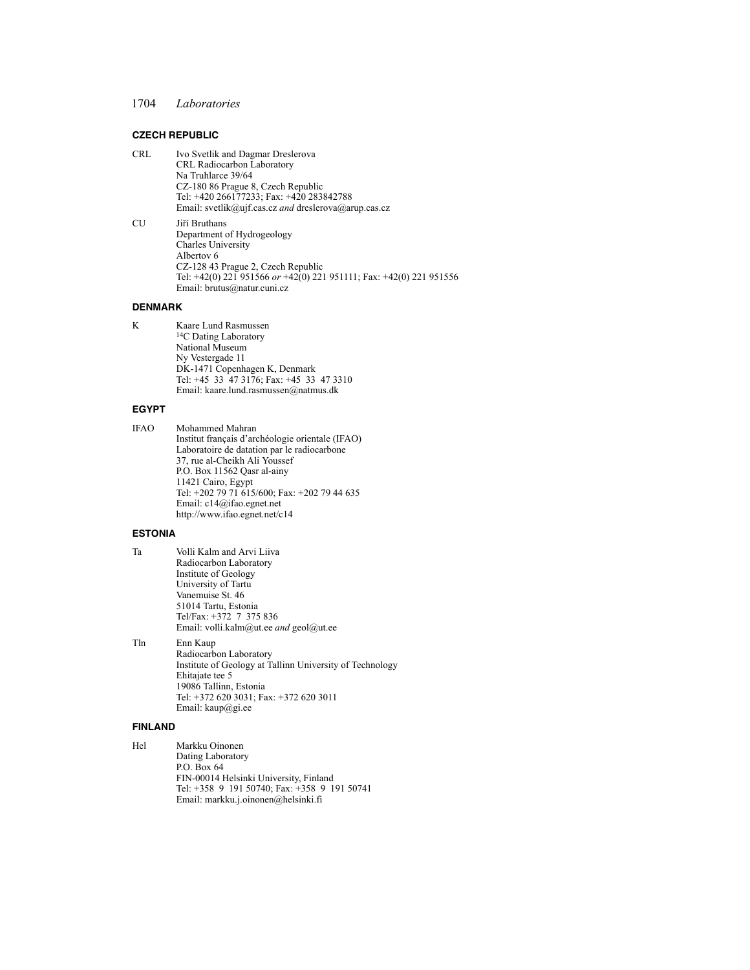### **CZECH REPUBLIC**

- CRL Ivo Svetlik and Dagmar Dreslerova CRL Radiocarbon Laboratory Na Truhlarce 39/64 CZ-180 86 Prague 8, Czech Republic Tel: +420 266177233; Fax: +420 283842788 Email: svetlik@ujf.cas.cz *and* dreslerova@arup.cas.cz
- CU Jiří Bruthans Department of Hydrogeology Charles University Albertov 6 CZ-128 43 Prague 2, Czech Republic Tel: +42(0) 221 951566 *or* +42(0) 221 951111; Fax: +42(0) 221 951556 Email: brutus@natur.cuni.cz

#### **DENMARK**

K Kaare Lund Rasmussen 14C Dating Laboratory National Museum Ny Vestergade 11 DK-1471 Copenhagen K, Denmark Tel: +45 33 47 3176; Fax: +45 33 47 3310 Email: kaare.lund.rasmussen@natmus.dk

#### **EGYPT**

IFAO Mohammed Mahran Institut français d'archéologie orientale (IFAO) Laboratoire de datation par le radiocarbone 37, rue al-Cheikh Ali Youssef P.O. Box 11562 Qasr al-ainy 11421 Cairo, Egypt Tel: +202 79 71 615/600; Fax: +202 79 44 635 Email: c14@ifao.egnet.net http://www.ifao.egnet.net/c14

### **ESTONIA**

Ta Volli Kalm and Arvi Liiva Radiocarbon Laboratory Institute of Geology University of Tartu Vanemuise St. 46 51014 Tartu, Estonia Tel/Fax: +372 7 375 836 Email: volli.kalm@ut.ee *and* geol@ut.ee

Tln Enn Kaup

Radiocarbon Laboratory Institute of Geology at Tallinn University of Technology Ehitajate tee 5 19086 Tallinn, Estonia Tel: +372 620 3031; Fax: +372 620 3011 Email: kaup@gi.ee

#### **FINLAND**

Hel Markku Oinonen Dating Laboratory P.O. Box 64 FIN-00014 Helsinki University, Finland Tel: +358 9 191 50740; Fax: +358 9 191 50741 Email: markku.j.oinonen@helsinki.fi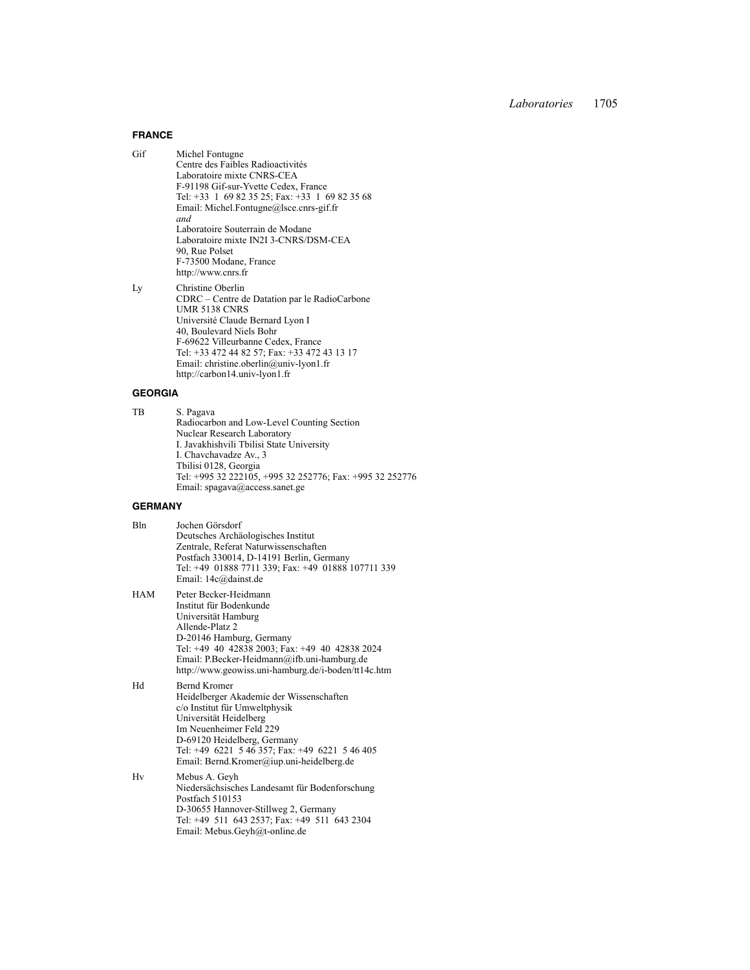#### **FRANCE**

Gif Michel Fontugne Centre des Faibles Radioactivités Laboratoire mixte CNRS-CEA F-91198 Gif-sur-Yvette Cedex, France Tel: +33 1 69 82 35 25; Fax: +33 1 69 82 35 68 Email: Michel.Fontugne@lsce.cnrs-gif.fr *and* Laboratoire Souterrain de Modane Laboratoire mixte IN2I 3-CNRS/DSM-CEA 90, Rue Polset F-73500 Modane, France http://www.cnrs.fr Ly Christine Oberlin

CDRC – Centre de Datation par le RadioCarbone UMR 5138 CNRS Université Claude Bernard Lyon I 40, Boulevard Niels Bohr F-69622 Villeurbanne Cedex, France Tel: +33 472 44 82 57; Fax: +33 472 43 13 17 Email: christine.oberlin@univ-lyon1.fr http://carbon14.univ-lyon1.fr

### **GEORGIA**

TB S. Pagava Radiocarbon and Low-Level Counting Section Nuclear Research Laboratory I. Javakhishvili Tbilisi State University I. Chavchavadze Av., 3 Tbilisi 0128, Georgia Tel: +995 32 222105, +995 32 252776; Fax: +995 32 252776 Email: spagava@access.sanet.ge

## **GERMANY**

| Bln | Jochen Görsdorf                                    |
|-----|----------------------------------------------------|
|     | Deutsches Archäologisches Institut                 |
|     | Zentrale, Referat Naturwissenschaften              |
|     | Postfach 330014, D-14191 Berlin, Germany           |
|     | Tel: +49 01888 7711 339; Fax: +49 01888 107711 339 |
|     | Email: 14c@dainst.de                               |
|     |                                                    |

HAM Peter Becker-Heidmann Institut für Bodenkunde Universität Hamburg Allende-Platz 2 D-20146 Hamburg, Germany Tel: +49 40 42838 2003; Fax: +49 40 42838 2024 Email: P.Becker-Heidmann@ifb.uni-hamburg.de http://www.geowiss.uni-hamburg.de/i-boden/tt14c.htm

Hd Bernd Kromer Heidelberger Akademie der Wissenschaften c/o Institut für Umweltphysik Universität Heidelberg Im Neuenheimer Feld 229 D-69120 Heidelberg, Germany Tel: +49 6221 5 46 357; Fax: +49 6221 5 46 405 Email: Bernd.Kromer@iup.uni-heidelberg.de

Hv Mebus A. Geyh Niedersächsisches Landesamt für Bodenforschung Postfach 510153 D-30655 Hannover-Stillweg 2, Germany Tel: +49 511 643 2537; Fax: +49 511 643 2304 Email: Mebus.Geyh@t-online.de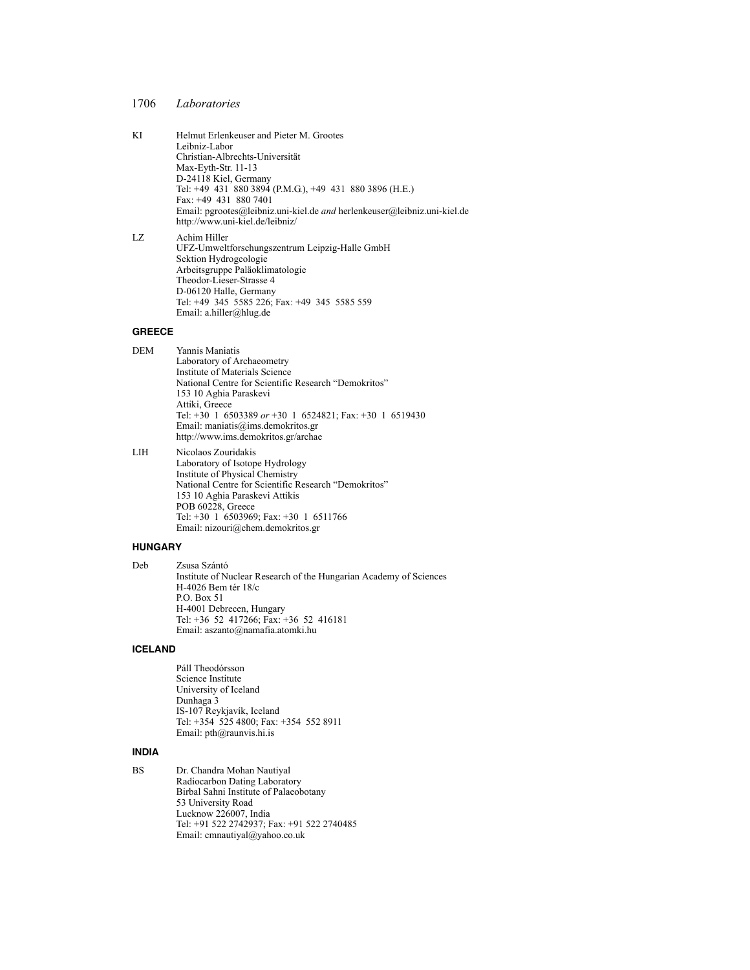- KI Helmut Erlenkeuser and Pieter M. Grootes Leibniz-Labor Christian-Albrechts-Universität Max-Eyth-Str. 11-13 D-24118 Kiel, Germany Tel: +49 431 880 3894 (P.M.G.), +49 431 880 3896 (H.E.) Fax: +49 431 880 7401 Email: pgrootes@leibniz.uni-kiel.de *and* herlenkeuser@leibniz.uni-kiel.de http://www.uni-kiel.de/leibniz/ LZ Achim Hiller
	- UFZ-Umweltforschungszentrum Leipzig-Halle GmbH Sektion Hydrogeologie Arbeitsgruppe Paläoklimatologie Theodor-Lieser-Strasse 4 D-06120 Halle, Germany Tel: +49 345 5585 226; Fax: +49 345 5585 559 Email: a.hiller@hlug.de

### **GREECE**

| DEM | Yannis Maniatis                                         |
|-----|---------------------------------------------------------|
|     | Laboratory of Archaeometry                              |
|     | Institute of Materials Science                          |
|     | National Centre for Scientific Research "Demokritos"    |
|     | 153 10 Aghia Paraskevi                                  |
|     | Attiki, Greece                                          |
|     | Tel: +30 1 6503389 or +30 1 6524821; Fax: +30 1 6519430 |
|     | Email: maniatis@ims.demokritos.gr                       |
|     | http://www.ims.demokritos.gr/archae                     |
|     |                                                         |

LIH Nicolaos Zouridakis Laboratory of Isotope Hydrology Institute of Physical Chemistry National Centre for Scientific Research "Demokritos" 153 10 Aghia Paraskevi Attikis POB 60228, Greece Tel: +30 1 6503969; Fax: +30 1 6511766 Email: nizouri@chem.demokritos.gr

#### **HUNGARY**

```
Deb Zsusa Szántó
 Institute of Nuclear Research of the Hungarian Academy of Sciences
 H-4026 Bem tér 18/c 
 P.O. Box 51
 H-4001 Debrecen, Hungary
 Tel: +36 52 417266; Fax: +36 52 416181
 Email: aszanto@namafia.atomki.hu
```
#### **ICELAND**

Páll Theodórsson Science Institute University of Iceland Dunhaga 3 IS-107 Reykjavík, Iceland Tel: +354 525 4800; Fax: +354 552 8911 Email: pth@raunvis.hi.is

### **INDIA**

BS Dr. Chandra Mohan Nautiyal Radiocarbon Dating Laboratory Birbal Sahni Institute of Palaeobotany 53 University Road Lucknow 226007, India Tel: +91 522 2742937; Fax: +91 522 2740485 Email: cmnautiyal@yahoo.co.uk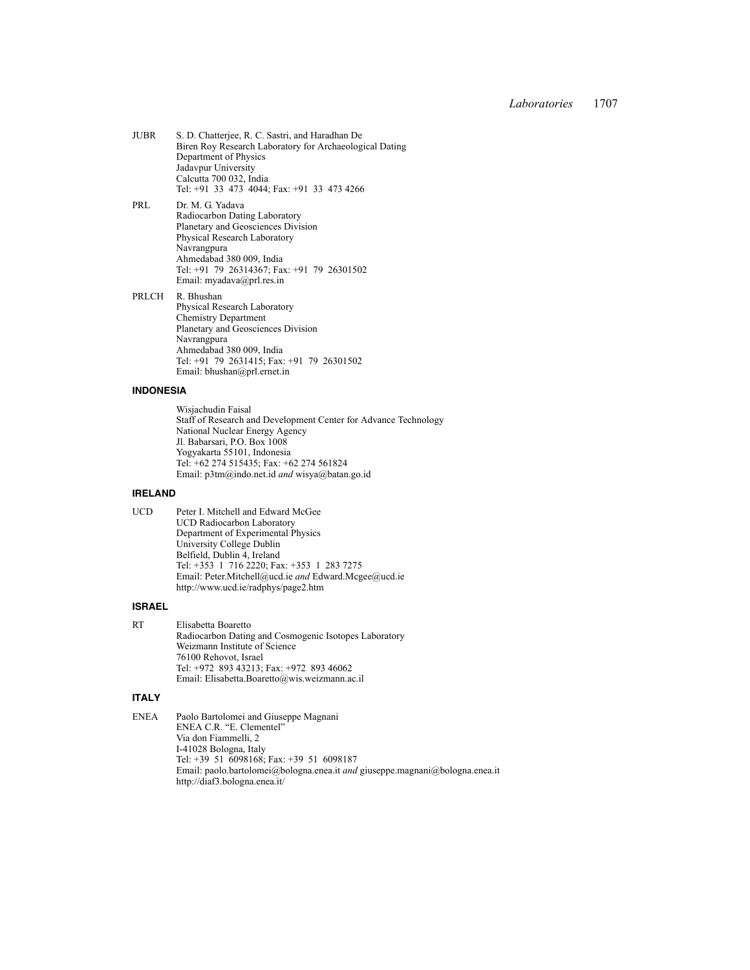| <b>JUBR</b> | S. D. Chatterjee, R. C. Sastri, and Haradhan De         |
|-------------|---------------------------------------------------------|
|             | Biren Roy Research Laboratory for Archaeological Dating |
|             | Department of Physics                                   |
|             | Jadavpur University                                     |
|             | Calcutta 700 032, India                                 |
|             | Tel: +91 33 473 4044; Fax: +91 33 473 4266              |

PRL Dr. M. G. Yadava Radiocarbon Dating Laboratory Planetary and Geosciences Division Physical Research Laboratory Navrangpura Ahmedabad 380 009, India Tel: +91 79 26314367; Fax: +91 79 26301502 Email: myadava@prl.res.in

PRLCH R. Bhushan Physical Research Laboratory Chemistry Department Planetary and Geosciences Division Navrangpura Ahmedabad 380 009, India Tel: +91 79 2631415; Fax: +91 79 26301502 Email: bhushan@prl.ernet.in

### **INDONESIA**

Wisjachudin Faisal Staff of Research and Development Center for Advance Technology National Nuclear Energy Agency Jl. Babarsari, P.O. Box 1008 Yogyakarta 55101, Indonesia Tel: +62 274 515435; Fax: +62 274 561824 Email: p3tm@indo.net.id *and* wisya@batan.go.id

### **IRELAND**

UCD Peter I. Mitchell and Edward McGee UCD Radiocarbon Laboratory Department of Experimental Physics University College Dublin Belfield, Dublin 4, Ireland Tel: +353 1 716 2220; Fax: +353 1 283 7275 Email: Peter.Mitchell@ucd.ie *and* Edward.Mcgee@ucd.ie http://www.ucd.ie/radphys/page2.htm

## **ISRAEL**

RT Elisabetta Boaretto Radiocarbon Dating and Cosmogenic Isotopes Laboratory Weizmann Institute of Science 76100 Rehovot, Israel Tel: +972 893 43213; Fax: +972 893 46062 Email: Elisabetta.Boaretto@wis.weizmann.ac.il

#### **ITALY**

ENEA Paolo Bartolomei and Giuseppe Magnani ENEA C.R. "E. Clementel" Via don Fiammelli, 2 I-41028 Bologna, Italy Tel: +39 51 6098168; Fax: +39 51 6098187 Email: paolo.bartolomei@bologna.enea.it *and* giuseppe.magnani@bologna.enea.it http://diaf3.bologna.enea.it/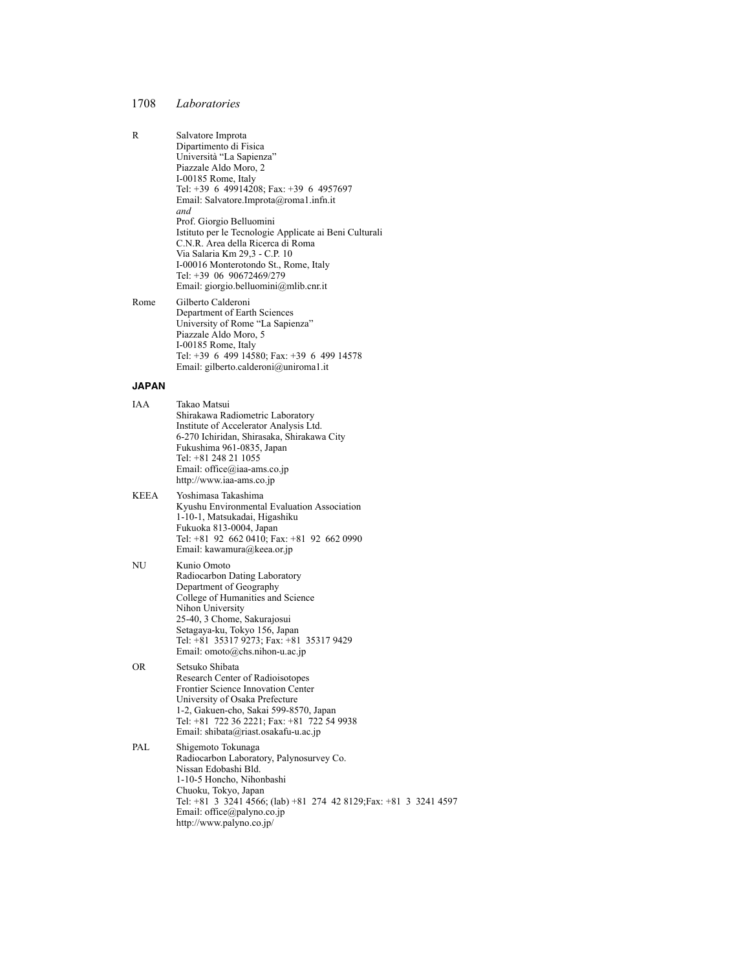| R            | Salvatore Improta<br>Dipartimento di Fisica<br>Università "La Sapienza"<br>Piazzale Aldo Moro, 2<br>I-00185 Rome, Italy<br>Tel: +39 6 49914208; Fax: +39 6 4957697<br>Email: Salvatore.Improta@roma1.infn.it<br>and                                                                                     |
|--------------|---------------------------------------------------------------------------------------------------------------------------------------------------------------------------------------------------------------------------------------------------------------------------------------------------------|
|              | Prof. Giorgio Belluomini<br>Istituto per le Tecnologie Applicate ai Beni Culturali<br>C.N.R. Area della Ricerca di Roma<br>Via Salaria Km 29,3 - C.P. 10<br>I-00016 Monterotondo St., Rome, Italy<br>Tel: +39 06 90672469/279<br>Email: giorgio.belluomini@mlib.cnr.it                                  |
| Rome         | Gilberto Calderoni<br>Department of Earth Sciences<br>University of Rome "La Sapienza"<br>Piazzale Aldo Moro, 5<br>I-00185 Rome, Italy<br>Tel: +39 6 499 14580; Fax: +39 6 499 14578<br>Email: gilberto.calderoni@uniroma1.it                                                                           |
| <b>JAPAN</b> |                                                                                                                                                                                                                                                                                                         |
| IAA          | Takao Matsui<br>Shirakawa Radiometric Laboratory<br>Institute of Accelerator Analysis Ltd.<br>6-270 Ichiridan, Shirasaka, Shirakawa City<br>Fukushima 961-0835, Japan<br>Tel: +81 248 21 1055<br>Email: office@iaa-ams.co.jp<br>http://www.iaa-ams.co.jp                                                |
| <b>KEEA</b>  | Yoshimasa Takashima<br>Kyushu Environmental Evaluation Association<br>1-10-1, Matsukadai, Higashiku<br>Fukuoka 813-0004, Japan<br>Tel: +81 92 662 0410; Fax: +81 92 662 0990<br>Email: kawamura@keea.or.jp                                                                                              |
| NU           | Kunio Omoto<br>Radiocarbon Dating Laboratory<br>Department of Geography<br>College of Humanities and Science<br>Nihon University<br>25-40, 3 Chome, Sakurajosui<br>Setagaya-ku, Tokyo 156, Japan<br>Tel: +81 35317 9273; Fax: +81 35317 9429<br>Email: $omoto(\partial_{\mathcal{C}}$ chs.nihon-u.ac.jp |
| <b>OR</b>    | Setsuko Shibata<br>Research Center of Radioisotopes<br>Frontier Science Innovation Center<br>University of Osaka Prefecture<br>1-2, Gakuen-cho, Sakai 599-8570, Japan<br>Tel: +81 722 36 2221; Fax: +81 722 54 9938<br>Email: shibata@riast.osakafu-u.ac.jp                                             |
| PAL          | Shigemoto Tokunaga<br>Radiocarbon Laboratory, Palynosurvey Co.<br>Nissan Edobashi Bld.<br>1-10-5 Honcho, Nihonbashi<br>Chuoku, Tokyo, Japan<br>Tel: +81 3 3241 4566; (lab) +81 274 42 8129; Fax: +81 3 3241 4597<br>Email: office@palyno.co.jp                                                          |

http://www.palyno.co.jp/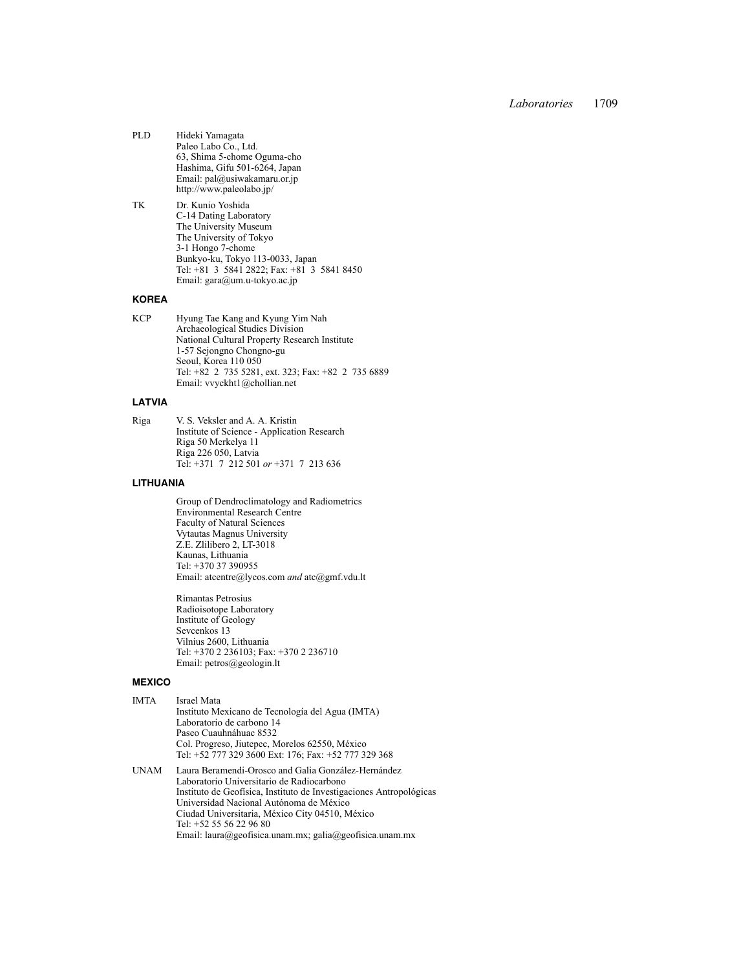- PLD Hideki Yamagata Paleo Labo Co., Ltd. 63, Shima 5-chome Oguma-cho Hashima, Gifu 501-6264, Japan Email: pal@usiwakamaru.or.jp http://www.paleolabo.jp/
- TK Dr. Kunio Yoshida C-14 Dating Laboratory The University Museum The University of Tokyo 3-1 Hongo 7-chome Bunkyo-ku, Tokyo 113-0033, Japan Tel: +81 3 5841 2822; Fax: +81 3 5841 8450 Email: gara@um.u-tokyo.ac.jp

# **KOREA**

KCP Hyung Tae Kang and Kyung Yim Nah Archaeological Studies Division National Cultural Property Research Institute 1-57 Sejongno Chongno-gu Seoul, Korea 110 050 Tel: +82 2 735 5281, ext. 323; Fax: +82 2 735 6889 Email: vvyckht1@chollian.net

# **LATVIA**

Riga V. S. Veksler and A. A. Kristin Institute of Science - Application Research Riga 50 Merkelya 11 Riga 226 050, Latvia Tel: +371 7 212 501 *or* +371 7 213 636

#### **LITHUANIA**

Group of Dendroclimatology and Radiometrics Environmental Research Centre Faculty of Natural Sciences Vytautas Magnus University Z.E. Zlilibero 2, LT-3018 Kaunas, Lithuania Tel: +370 37 390955 Email: atcentre@lycos.com *and* atc@gmf.vdu.lt

Rimantas Petrosius Radioisotope Laboratory Institute of Geology Sevcenkos 13 Vilnius 2600, Lithuania Tel: +370 2 236103; Fax: +370 2 236710 Email: petros@geologin.lt

#### **MEXICO**

| IMTA | Israel Mata                                          |
|------|------------------------------------------------------|
|      | Instituto Mexicano de Tecnología del Agua (IMTA)     |
|      | Laboratorio de carbono 14                            |
|      | Paseo Cuauhnáhuac 8532                               |
|      | Col. Progreso, Jiutepec, Morelos 62550, México       |
|      | Tel: +52 777 329 3600 Ext: 176; Fax: +52 777 329 368 |
|      |                                                      |

UNAM Laura Beramendi-Orosco and Galia González-Hernández Laboratorio Universitario de Radiocarbono Instituto de Geofísica, Instituto de Investigaciones Antropológicas Universidad Nacional Autónoma de México Ciudad Universitaria, México City 04510, México Tel: +52 55 56 22 96 80 Email: laura@geofisica.unam.mx; galia@geofisica.unam.mx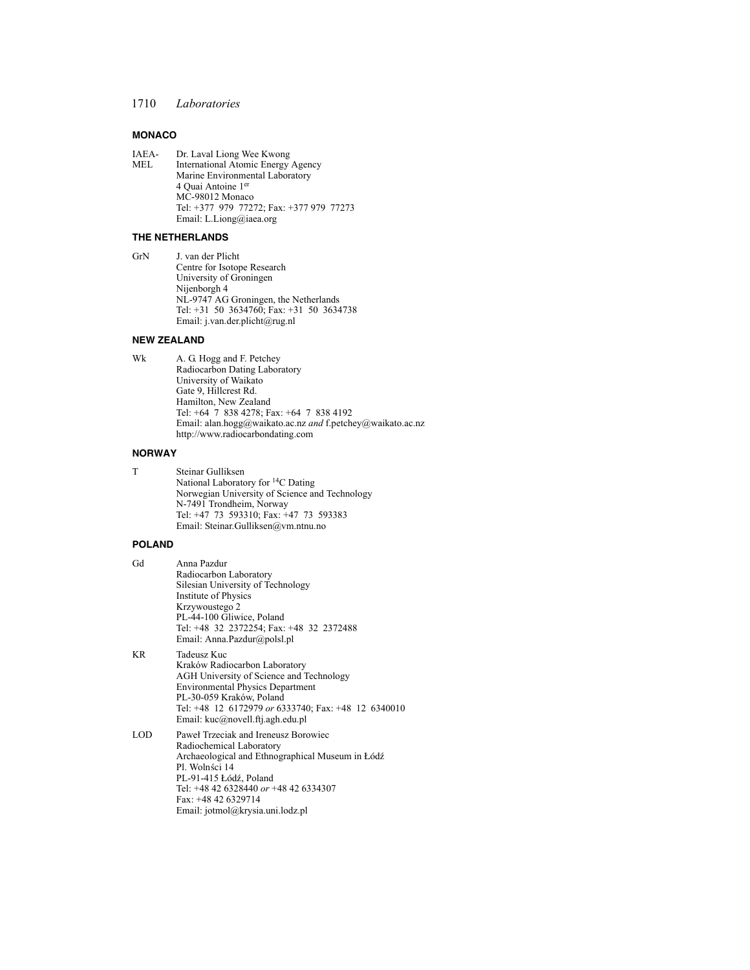## **MONACO**

IAEA- Dr. Laval Liong Wee Kwong<br>MEL International Atomic Energy International Atomic Energy Agency Marine Environmental Laboratory 4 Quai Antoine 1er MC-98012 Monaco Tel: +377 979 77272; Fax: +377 979 77273 Email: L.Liong@iaea.org

## **THE NETHERLANDS**

GrN J. van der Plicht Centre for Isotope Research University of Groningen Nijenborgh 4 NL-9747 AG Groningen, the Netherlands Tel: +31 50 3634760; Fax: +31 50 3634738 Email: j.van.der.plicht@rug.nl

### **NEW ZEALAND**

Wk A. G. Hogg and F. Petchey Radiocarbon Dating Laboratory University of Waikato Gate 9, Hillcrest Rd. Hamilton, New Zealand Tel: +64 7 838 4278; Fax: +64 7 838 4192 Email: alan.hogg@waikato.ac.nz *and* f.petchey@waikato.ac.nz http://www.radiocarbondating.com

#### **NORWAY**

T Steinar Gulliksen National Laboratory for 14C Dating Norwegian University of Science and Technology N-7491 Trondheim, Norway Tel: +47 73 593310; Fax: +47 73 593383 Email: Steinar.Gulliksen@vm.ntnu.no

## **POLAND**

| Gd  | Anna Pazdur                                         |
|-----|-----------------------------------------------------|
|     | Radiocarbon Laboratory                              |
|     | Silesian University of Technology                   |
|     | Institute of Physics                                |
|     | Krzywoustego 2                                      |
|     | PL-44-100 Gliwice, Poland                           |
|     | Tel: +48 32 2372254; Fax: +48 32 2372488            |
|     | Email: Anna.Pazdur@polsl.pl                         |
| KR  | Tadeusz Kuc                                         |
|     | Kraków Radiocarbon Laboratory                       |
|     | AGH University of Science and Technology            |
|     | <b>Environmental Physics Department</b>             |
|     | PL-30-059 Kraków, Poland                            |
|     | Tel: +48 12 6172979 or 6333740; Fax: +48 12 6340010 |
|     | Email: kuc@novell.ftj.agh.edu.pl                    |
| LOD | Paweł Trzeciak and Ireneusz Borowiec                |
|     | Radiochemical Laboratory                            |
|     | Archaeological and Ethnographical Museum in Łódź    |
|     | Pl. Wolnści 14                                      |
|     | PL-91-415 Łódź, Poland                              |
|     | Tel: +48 42 6328440 or +48 42 6334307               |
|     | Fax: +48 42 6329714                                 |
|     | Email: jotmol@krysia.uni.lodz.pl                    |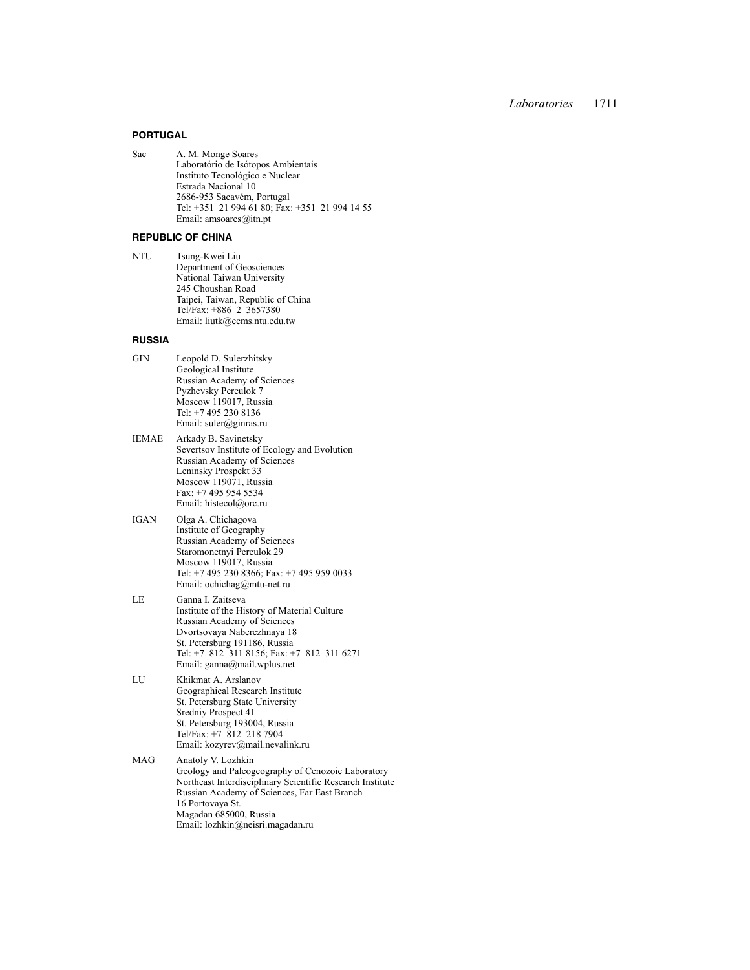#### **PORTUGAL**

Sac A. M. Monge Soares Laboratório de Isótopos Ambientais Instituto Tecnológico e Nuclear Estrada Nacional 10 2686-953 Sacavém, Portugal Tel: +351 21 994 61 80; Fax: +351 21 994 14 55 Email: amsoares@itn.pt

#### **REPUBLIC OF CHINA**

NTU Tsung-Kwei Liu Department of Geosciences National Taiwan University 245 Choushan Road Taipei, Taiwan, Republic of China Tel/Fax: +886 2 3657380 Email: liutk@ccms.ntu.edu.tw

### **RUSSIA**

| GIN | Leopold D. Sulerzhitsky     |
|-----|-----------------------------|
|     | Geological Institute        |
|     | Russian Academy of Sciences |
|     | Pyzhevsky Pereulok 7        |
|     | Moscow 119017, Russia       |
|     | Tel: +7 495 230 8136        |
|     | Email: suler@ginras.ru      |
|     |                             |

- IEMAE Arkady B. Savinetsky Severtsov Institute of Ecology and Evolution Russian Academy of Sciences Leninsky Prospekt 33 Moscow 119071, Russia Fax: +7 495 954 5534 Email: histecol@orc.ru
- IGAN Olga A. Chichagova Institute of Geography Russian Academy of Sciences Staromonetnyi Pereulok 29 Moscow 119017, Russia Tel: +7 495 230 8366; Fax: +7 495 959 0033 Email: ochichag@mtu-net.ru
- LE Ganna I. Zaitseva Institute of the History of Material Culture Russian Academy of Sciences Dvortsovaya Naberezhnaya 18 St. Petersburg 191186, Russia Tel: +7 812 311 8156; Fax: +7 812 311 6271 Email: ganna@mail.wplus.net
- LU Khikmat A. Arslanov Geographical Research Institute St. Petersburg State University Sredniy Prospect 41 St. Petersburg 193004, Russia Tel/Fax: +7 812 218 7904 Email: kozyrev@mail.nevalink.ru
- MAG Anatoly V. Lozhkin Geology and Paleogeography of Cenozoic Laboratory Northeast Interdisciplinary Scientific Research Institute Russian Academy of Sciences, Far East Branch 16 Portovaya St. Magadan 685000, Russia Email: lozhkin@neisri.magadan.ru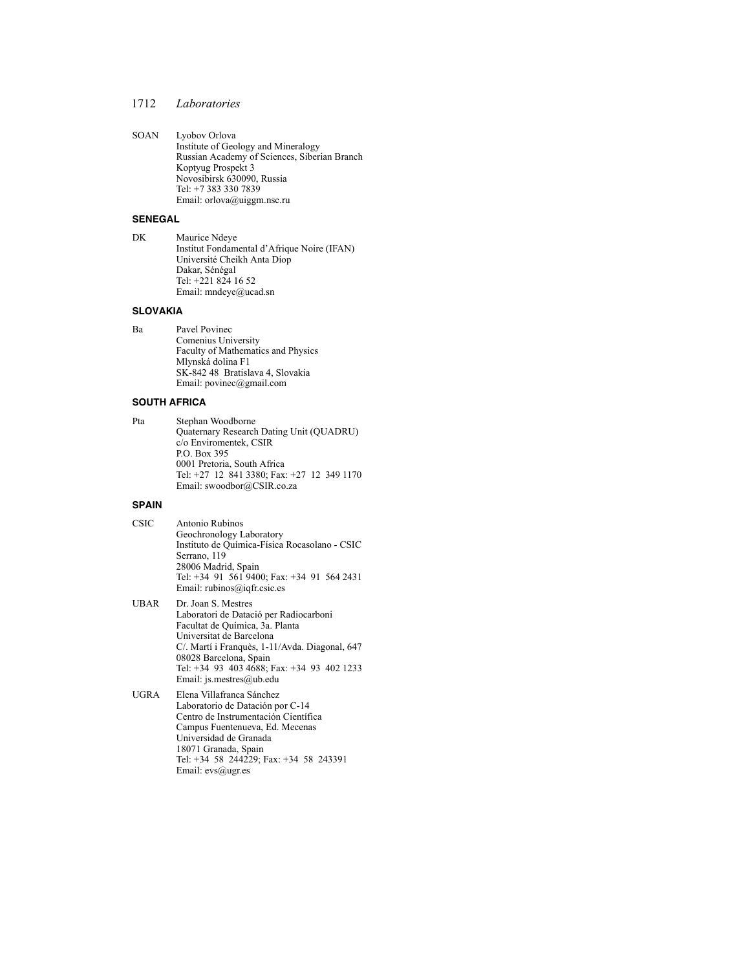SOAN Lyobov Orlova Institute of Geology and Mineralogy Russian Academy of Sciences, Siberian Branch Koptyug Prospekt 3 Novosibirsk 630090, Russia Tel: +7 383 330 7839 Email: orlova@uiggm.nsc.ru

#### **SENEGAL**

DK Maurice Ndeye Institut Fondamental d'Afrique Noire (IFAN) Université Cheikh Anta Diop Dakar, Sénégal Tel: +221 824 16 52 Email: mndeye@ucad.sn

### **SLOVAKIA**

Ba Pavel Povinec Comenius University Faculty of Mathematics and Physics Mlynská dolina F1 SK-842 48 Bratislava 4, Slovakia Email: povinec@gmail.com

### **SOUTH AFRICA**

```
Pta Stephan Woodborne
Quaternary Research Dating Unit (QUADRU)
c/o Enviromentek, CSIR
P.O. Box 395
0001 Pretoria, South Africa
Tel: +27 12 841 3380; Fax: +27 12 349 1170
Email: swoodbor@CSIR.co.za
```
## **SPAIN**

CSIC Antonio Rubinos Geochronology Laboratory Instituto de Química-Física Rocasolano - CSIC Serrano, 119 28006 Madrid, Spain Tel: +34 91 561 9400; Fax: +34 91 564 2431 Email: rubinos@iqfr.csic.es

UBAR Dr. Joan S. Mestres Laboratori de Datació per Radiocarboni Facultat de Química, 3a. Planta Universitat de Barcelona C/. Martí i Franquès, 1-11/Avda. Diagonal, 647 08028 Barcelona, Spain Tel: +34 93 403 4688; Fax: +34 93 402 1233 Email: js.mestres@ub.edu

UGRA Elena Villafranca Sánchez Laboratorio de Datación por C-14 Centro de Instrumentación Científica Campus Fuentenueva, Ed. Mecenas Universidad de Granada 18071 Granada, Spain Tel: +34 58 244229; Fax: +34 58 243391 Email: evs@ugr.es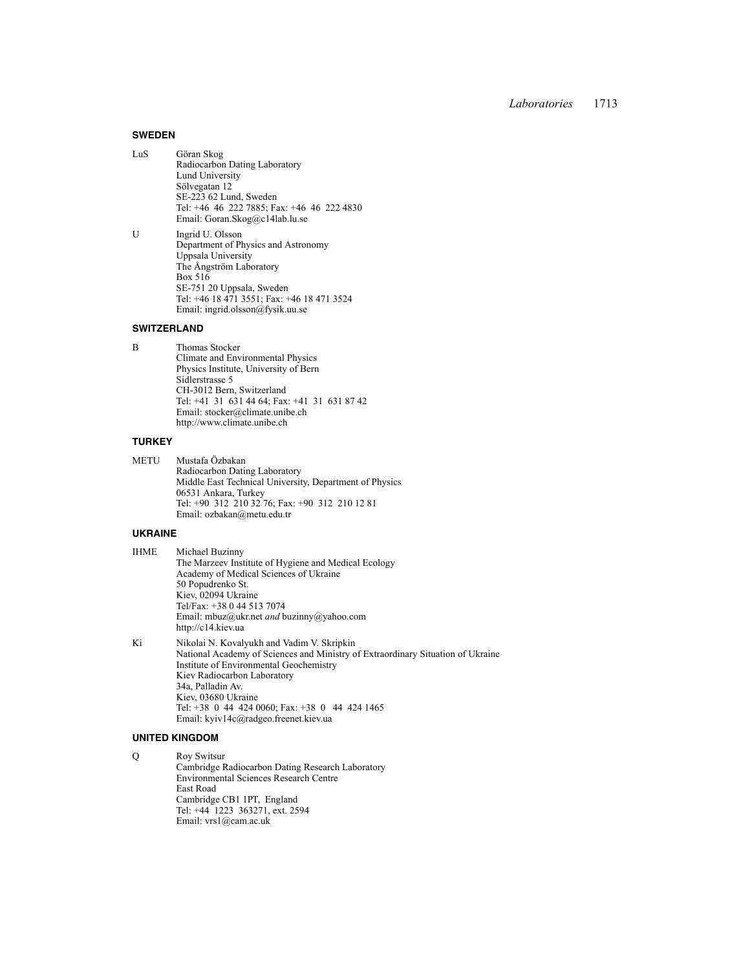#### **SWEDEN**

- LuS Göran Skog Radiocarbon Dating Laboratory Lund University Sölvegatan 12 SE-223 62 Lund, Sweden Tel: +46 46 222 7885; Fax: +46 46 222 4830 Email: Goran.Skog@c14lab.lu.se
- U Ingrid U. Olsson Department of Physics and Astronomy Uppsala University The Ångström Laboratory Box 516 SE-751 20 Uppsala, Sweden Tel: +46 18 471 3551; Fax: +46 18 471 3524 Email: ingrid.olsson@fysik.uu.se

#### **SWITZERLAND**

B Thomas Stocker Climate and Environmental Physics Physics Institute, University of Bern Sidlerstrasse 5 CH-3012 Bern, Switzerland Tel: +41 31 631 44 64; Fax: +41 31 631 87 42 Email: stocker@climate.unibe.ch http://www.climate.unibe.ch

#### **TURKEY**

METU Mustafa Özbakan Radiocarbon Dating Laboratory Middle East Technical University, Department of Physics 06531 Ankara, Turkey Tel: +90 312 210 32 76; Fax: +90 312 210 12 81 Email: ozbakan@metu.edu.tr

#### **UKRAINE**

IHME Michael Buzinny The Marzeev Institute of Hygiene and Medical Ecology Academy of Medical Sciences of Ukraine 50 Popudrenko St. Kiev, 02094 Ukraine Tel/Fax: +38 0 44 513 7074 Email: mbuz@ukr.net *and* buzinny@yahoo.com http://c14.kiev.ua

Ki Nikolai N. Kovalyukh and Vadim V. Skripkin National Academy of Sciences and Ministry of Extraordinary Situation of Ukraine Institute of Environmental Geochemistry Kiev Radiocarbon Laboratory 34a, Palladin Av. Kiev, 03680 Ukraine Tel: +38 0 44 424 0060; Fax: +38 0 44 424 1465 Email: kyiv14c@radgeo.freenet.kiev.ua

### **UNITED KINGDOM**

Q Roy Switsur Cambridge Radiocarbon Dating Research Laboratory Environmental Sciences Research Centre East Road Cambridge CB1 1PT, England Tel: +44 1223 363271, ext. 2594 Email: vrs1@cam.ac.uk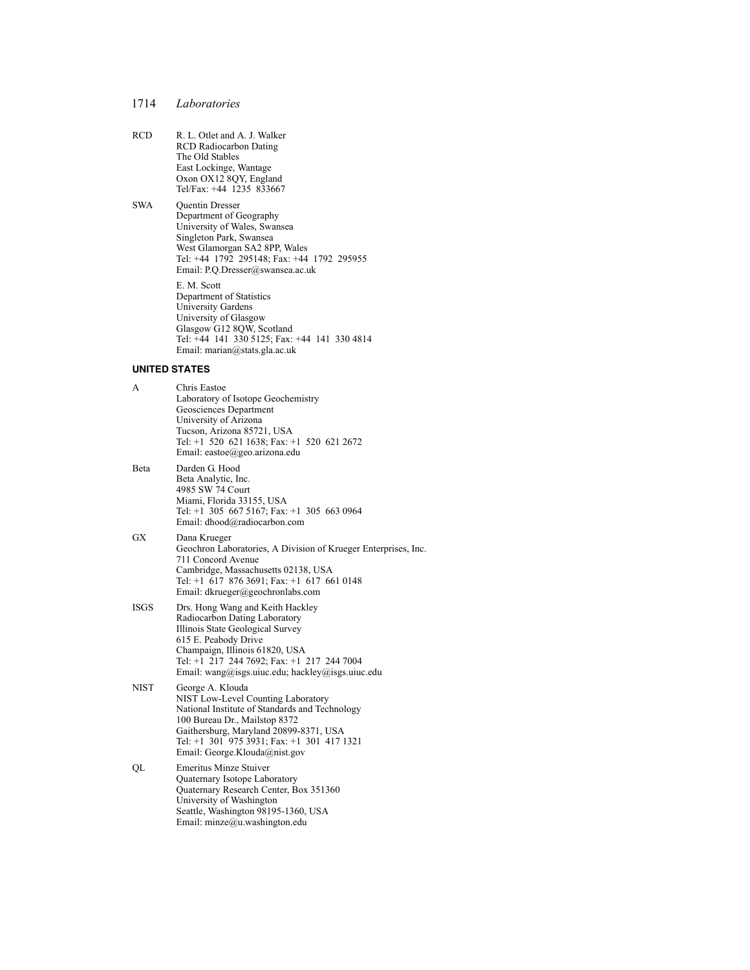- RCD R. L. Otlet and A. J. Walker RCD Radiocarbon Dating The Old Stables East Lockinge, Wantage Oxon OX12 8QY, England Tel/Fax: +44 1235 833667
- SWA Quentin Dresser Department of Geography University of Wales, Swansea Singleton Park, Swansea West Glamorgan SA2 8PP, Wales Tel: +44 1792 295148; Fax: +44 1792 295955 Email: P.Q.Dresser@swansea.ac.uk E. M. Scott Department of Statistics University Gardens University of Glasgow Glasgow G12 8QW, Scotland Tel: +44 141 330 5125; Fax: +44 141 330 4814 Email: marian@stats.gla.ac.uk

#### **UNITED STATES**

| A           | Chris Eastoe<br>Laboratory of Isotope Geochemistry<br>Geosciences Department<br>University of Arizona<br>Tucson, Arizona 85721, USA<br>Tel: +1 520 621 1638; Fax: +1 520 621 2672<br>Email: eastoe@geo.arizona.edu                                                 |
|-------------|--------------------------------------------------------------------------------------------------------------------------------------------------------------------------------------------------------------------------------------------------------------------|
| Beta        | Darden G. Hood<br>Beta Analytic, Inc.<br>4985 SW 74 Court<br>Miami, Florida 33155, USA<br>Tel: +1 305 667 5167; Fax: +1 305 663 0964<br>Email: dhood@radiocarbon.com                                                                                               |
| GX          | Dana Krueger<br>Geochron Laboratories, A Division of Krueger Enterprises, Inc.<br>711 Concord Avenue<br>Cambridge, Massachusetts 02138, USA<br>Tel: $+1$ 617 876 3691; Fax: $+1$ 617 661 0148<br>Email: dkrueger@geochronlabs.com                                  |
| <b>ISGS</b> | Drs. Hong Wang and Keith Hackley<br>Radiocarbon Dating Laboratory<br>Illinois State Geological Survey<br>615 E. Peabody Drive<br>Champaign, Illinois 61820, USA<br>Tel: +1 217 244 7692; Fax: +1 217 244 7004<br>Email: wang@isgs.uiuc.edu; hackley@isgs.uiuc.edu  |
| <b>NIST</b> | George A. Klouda<br>NIST Low-Level Counting Laboratory<br>National Institute of Standards and Technology<br>100 Bureau Dr., Mailstop 8372<br>Gaithersburg, Maryland 20899-8371, USA<br>Tel: +1 301 975 3931; Fax: +1 301 417 1321<br>Email: George.Klouda@nist.gov |
| QL          | <b>Emeritus Minze Stuiver</b><br>Quaternary Isotope Laboratory<br>Quaternary Research Center, Box 351360                                                                                                                                                           |

University of Washington Seattle, Washington 98195-1360, USA Email: minze@u.washington.edu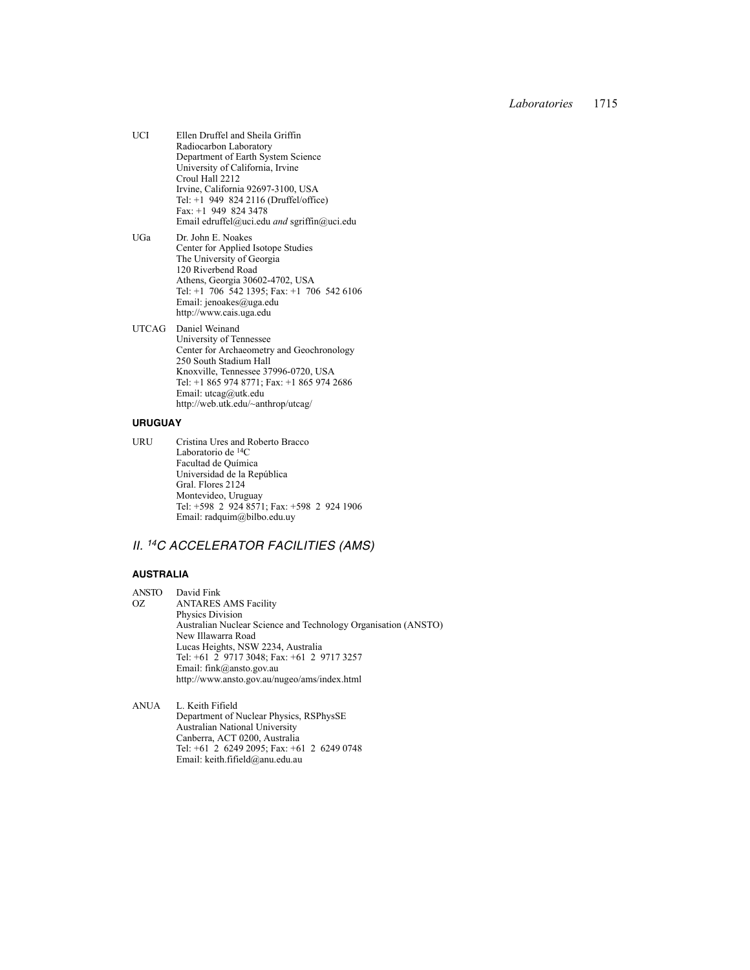- UCI Ellen Druffel and Sheila Griffin Radiocarbon Laboratory Department of Earth System Science University of California, Irvine Croul Hall 2212 Irvine, California 92697-3100, USA Tel: +1 949 824 2116 (Druffel/office) Fax: +1 949 824 3478 Email edruffel@uci.edu *and* sgriffin@uci.edu UGa Dr. John E. Noakes
- Center for Applied Isotope Studies The University of Georgia 120 Riverbend Road Athens, Georgia 30602-4702, USA Tel: +1 706 542 1395; Fax: +1 706 542 6106 Email: jenoakes@uga.edu http://www.cais.uga.edu

UTCAG Daniel Weinand University of Tennessee Center for Archaeometry and Geochronology 250 South Stadium Hall Knoxville, Tennessee 37996-0720, USA Tel: +1 865 974 8771; Fax: +1 865 974 2686 Email: utcag@utk.edu http://web.utk.edu/~anthrop/utcag/

### **URUGUAY**

URU Cristina Ures and Roberto Bracco Laboratorio de 14C Facultad de Química Universidad de la República Gral. Flores 2124 Montevideo, Uruguay Tel: +598 2 924 8571; Fax: +598 2 924 1906 Email: radquim@bilbo.edu.uy

# *II. 14C ACCELERATOR FACILITIES (AMS)*

## **AUSTRALIA**

- ANSTO David Fink ANTARES AMS Facility Physics Division Australian Nuclear Science and Technology Organisation (ANSTO) New Illawarra Road Lucas Heights, NSW 2234, Australia Tel: +61 2 9717 3048; Fax: +61 2 9717 3257 Email: fink@ansto.gov.au http://www.ansto.gov.au/nugeo/ams/index.html
- ANUA L. Keith Fifield Department of Nuclear Physics, RSPhysSE Australian National University Canberra, ACT 0200, Australia Tel: +61 2 6249 2095; Fax: +61 2 6249 0748 Email: keith.fifield@anu.edu.au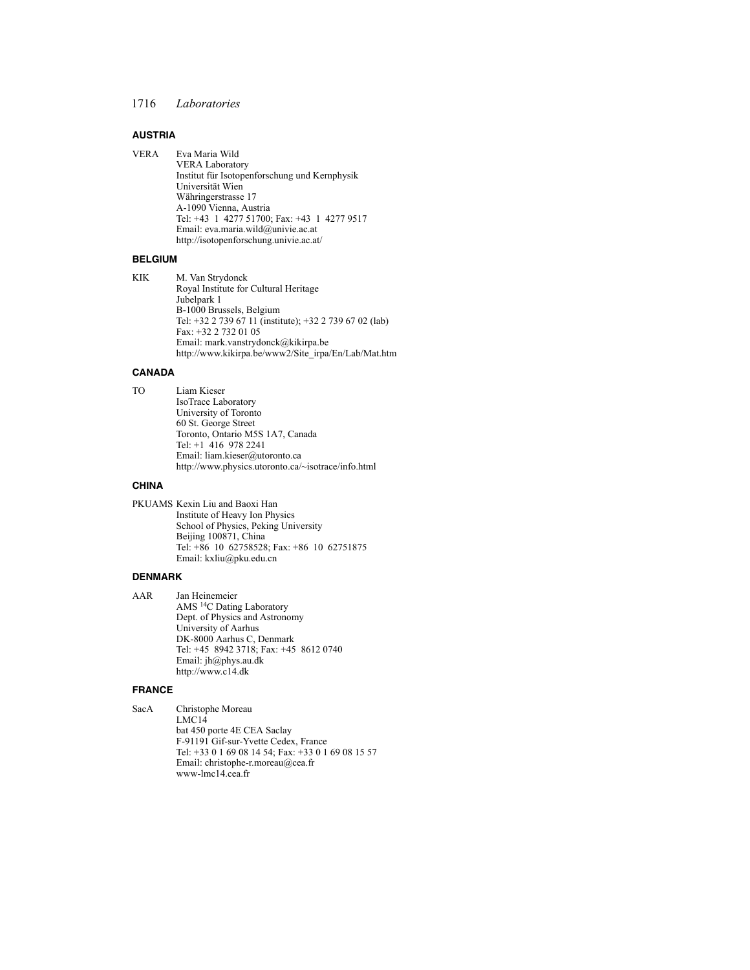### **AUSTRIA**

VERA Eva Maria Wild VERA Laboratory Institut für Isotopenforschung und Kernphysik Universität Wien Währingerstrasse 17 A-1090 Vienna, Austria Tel: +43 1 4277 51700; Fax: +43 1 4277 9517 Email: eva.maria.wild@univie.ac.at http://isotopenforschung.univie.ac.at/

### **BELGIUM**

KIK M. Van Strydonck Royal Institute for Cultural Heritage Jubelpark 1 B-1000 Brussels, Belgium Tel: +32 2 739 67 11 (institute); +32 2 739 67 02 (lab) Fax: +32 2 732 01 05 Email: mark.vanstrydonck@kikirpa.be http://www.kikirpa.be/www2/Site\_irpa/En/Lab/Mat.htm

### **CANADA**

TO Liam Kieser IsoTrace Laboratory University of Toronto 60 St. George Street Toronto, Ontario M5S 1A7, Canada Tel: +1 416 978 2241 Email: liam.kieser@utoronto.ca http://www.physics.utoronto.ca/~isotrace/info.html

## **CHINA**

PKUAMS Kexin Liu and Baoxi Han Institute of Heavy Ion Physics School of Physics, Peking University Beijing 100871, China Tel: +86 10 62758528; Fax: +86 10 62751875 Email: kxliu@pku.edu.cn

#### **DENMARK**

AAR Jan Heinemeier AMS 14C Dating Laboratory Dept. of Physics and Astronomy University of Aarhus DK-8000 Aarhus C, Denmark Tel: +45 8942 3718; Fax: +45 8612 0740 Email: jh@phys.au.dk http://www.c14.dk

#### **FRANCE**

SacA Christophe Moreau LMC14 bat 450 porte 4E CEA Saclay F-91191 Gif-sur-Yvette Cedex, France Tel: +33 0 1 69 08 14 54; Fax: +33 0 1 69 08 15 57 Email: christophe-r.moreau@cea.fr www-lmc14.cea.fr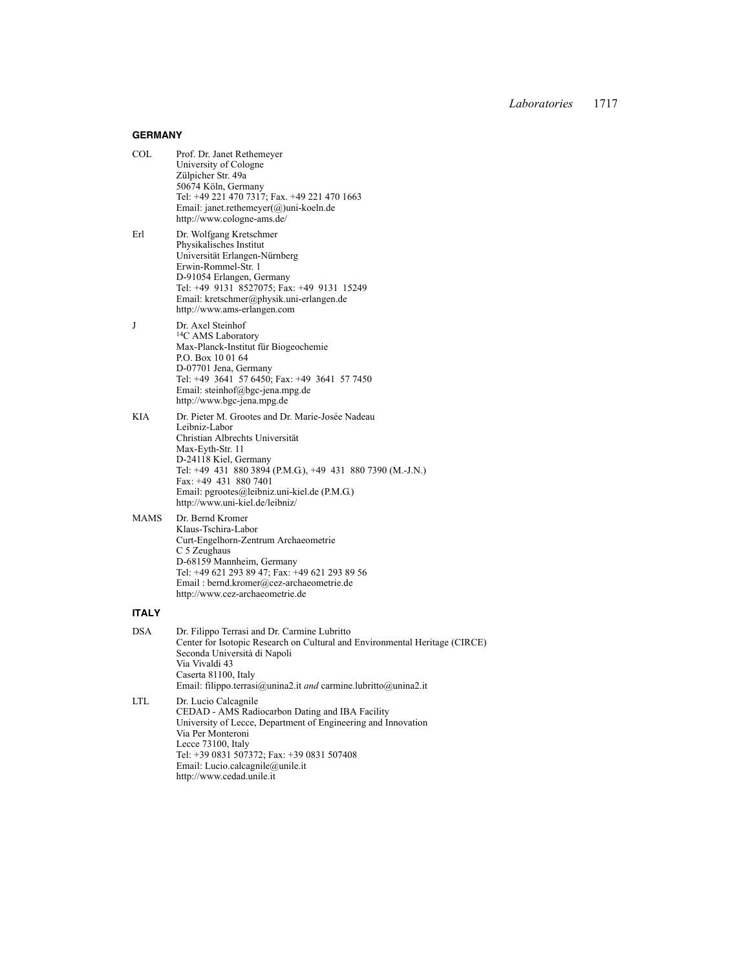## **GERMANY**

| COL. | Prof. Dr. Janet Rethemeyer<br>University of Cologne<br>Zülpicher Str. 49a<br>50674 Köln, Germany<br>Tel: +49 221 470 7317; Fax. +49 221 470 1663<br>Email: janet.rethemeyer $(a)$ uni-koeln.de<br>http://www.cologne-ams.de/                                     |
|------|------------------------------------------------------------------------------------------------------------------------------------------------------------------------------------------------------------------------------------------------------------------|
| Erl  | Dr. Wolfgang Kretschmer<br>Physikalisches Institut<br>Universität Erlangen-Nürnberg<br>Erwin-Rommel-Str. 1<br>D-91054 Erlangen, Germany<br>Tel: +49 9131 8527075; Fax: +49 9131 15249<br>Email: kretschmer@physik.uni-erlangen.de<br>http://www.ams-erlangen.com |
|      |                                                                                                                                                                                                                                                                  |

- J Dr. Axel Steinhof <sup>14</sup>C AMS Laboratory Max-Planck-Institut für Biogeochemie P.O. Box 10 01 64 D-07701 Jena, Germany Tel: +49 3641 57 6450; Fax: +49 3641 57 7450 Email: steinhof@bgc-jena.mpg.de http://www.bgc-jena.mpg.de
- KIA Dr. Pieter M. Grootes and Dr. Marie-Josée Nadeau Leibniz-Labor Christian Albrechts Universität Max-Eyth-Str. 11 D-24118 Kiel, Germany Tel: +49 431 880 3894 (P.M.G.), +49 431 880 7390 (M.-J.N.) Fax: +49 431 880 7401 Email: pgrootes@leibniz.uni-kiel.de (P.M.G.) http://www.uni-kiel.de/leibniz/
- MAMS Dr. Bernd Kromer Klaus-Tschira-Labor Curt-Engelhorn-Zentrum Archaeometrie C 5 Zeughaus D-68159 Mannheim, Germany Tel: +49 621 293 89 47; Fax: +49 621 293 89 56 Email : bernd.kromer@cez-archaeometrie.de http://www.cez-archaeometrie.de

## **ITALY**

| <b>DSA</b> | Dr. Filippo Terrasi and Dr. Carmine Lubritto                                |
|------------|-----------------------------------------------------------------------------|
|            | Center for Isotopic Research on Cultural and Environmental Heritage (CIRCE) |
|            | Seconda Università di Napoli                                                |
|            | Via Vivaldi 43                                                              |
|            | Caserta 81100, Italy                                                        |
|            | Email: filippo.terrasi@unina2.it and carmine.lubritto@unina2.it             |
| LTL.       | Dr. Lucio Calcagnile                                                        |
|            | CEDAD - AMS Radiocarbon Dating and IBA Facility                             |
|            | University of Lecce, Department of Engineering and Innovation               |
|            | Via Per Monteroni                                                           |
|            | Lecce 73100, Italy                                                          |
|            | Tel: +39 0831 507372; Fax: +39 0831 507408                                  |
|            | Email: Lucio.calcagnile@unile.it                                            |
|            | http://www.cedad.unile.it                                                   |
|            |                                                                             |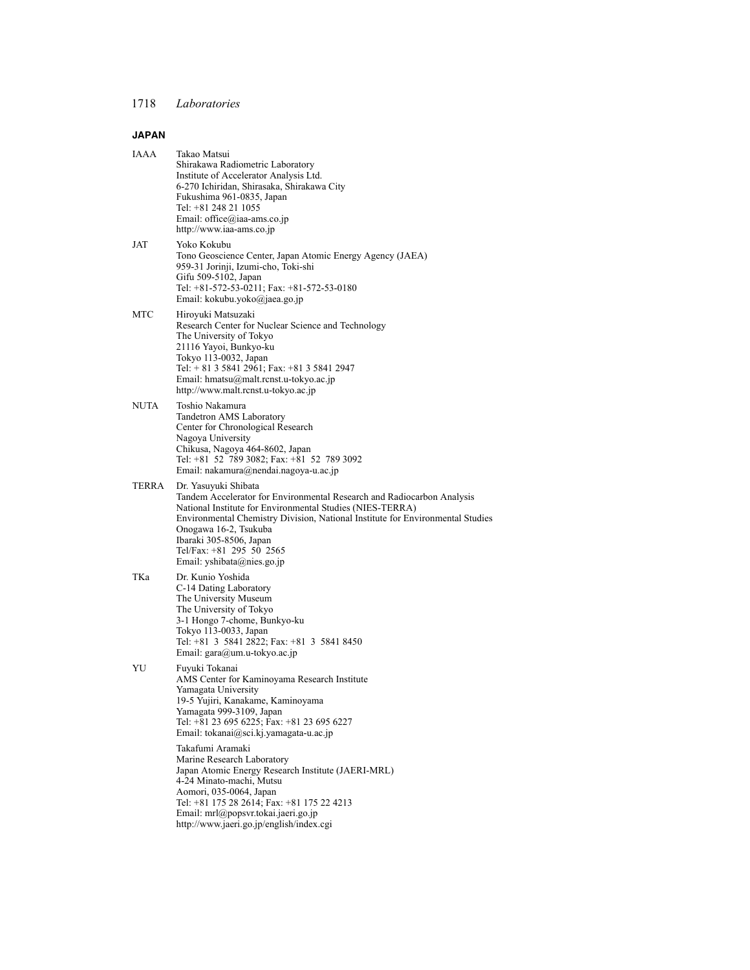# **JAPAN**

| IAAA  | Takao Matsui<br>Shirakawa Radiometric Laboratory<br>Institute of Accelerator Analysis Ltd.<br>6-270 Ichiridan, Shirasaka, Shirakawa City<br>Fukushima 961-0835, Japan<br>Tel: +81 248 21 1055<br>Email: office@iaa-ams.co.jp<br>http://www.iaa-ams.co.jp                                                                                                    |
|-------|-------------------------------------------------------------------------------------------------------------------------------------------------------------------------------------------------------------------------------------------------------------------------------------------------------------------------------------------------------------|
| JAT   | Yoko Kokubu<br>Tono Geoscience Center, Japan Atomic Energy Agency (JAEA)<br>959-31 Jorinji, Izumi-cho, Toki-shi<br>Gifu 509-5102, Japan<br>Tel: +81-572-53-0211; Fax: +81-572-53-0180<br>Email: kokubu.yoko@jaea.go.jp                                                                                                                                      |
| MTC   | Hiroyuki Matsuzaki<br>Research Center for Nuclear Science and Technology<br>The University of Tokyo<br>21116 Yayoi, Bunkyo-ku<br>Tokyo 113-0032, Japan<br>Tel: $+ 81$ 3 5841 2961; Fax: $+ 81$ 3 5841 2947<br>Email: hmatsu@malt.rcnst.u-tokyo.ac.jp<br>http://www.malt.rcnst.u-tokyo.ac.jp                                                                 |
| NUTA  | Toshio Nakamura<br>Tandetron AMS Laboratory<br>Center for Chronological Research<br>Nagoya University<br>Chikusa, Nagoya 464-8602, Japan<br>Tel: +81 52 789 3082; Fax: +81 52 789 3092<br>Email: nakamura@nendai.nagoya-u.ac.jp                                                                                                                             |
| TERRA | Dr. Yasuyuki Shibata<br>Tandem Accelerator for Environmental Research and Radiocarbon Analysis<br>National Institute for Environmental Studies (NIES-TERRA)<br>Environmental Chemistry Division, National Institute for Environmental Studies<br>Onogawa 16-2, Tsukuba<br>Ibaraki 305-8506, Japan<br>Tel/Fax: +81 295 50 2565<br>Email: yshibata@nies.go.jp |
| TKa   | Dr. Kunio Yoshida<br>C-14 Dating Laboratory<br>The University Museum<br>The University of Tokyo<br>3-1 Hongo 7-chome, Bunkyo-ku<br>Tokyo 113-0033, Japan<br>Tel: +81 3 5841 2822; Fax: +81 3 5841 8450<br>Email: gara@um.u-tokyo.ac.jp                                                                                                                      |
| YU    | Fuyuki Tokanai<br>AMS Center for Kaminoyama Research Institute<br>Yamagata University<br>19-5 Yujiri, Kanakame, Kaminoyama<br>Yamagata 999-3109, Japan<br>Tel: +81 23 695 6225; Fax: +81 23 695 6227<br>Email: tokanai@sci.kj.yamagata-u.ac.jp                                                                                                              |
|       | Takafumi Aramaki<br>Marine Research Laboratory<br>Japan Atomic Energy Research Institute (JAERI-MRL)<br>4-24 Minato-machi, Mutsu<br>Aomori, 035-0064, Japan<br>Tel: +81 175 28 2614; Fax: +81 175 22 4213<br>Email: mrl@popsvr.tokai.jaeri.go.jp<br>http://www.jaeri.go.jp/english/index.cgi                                                                |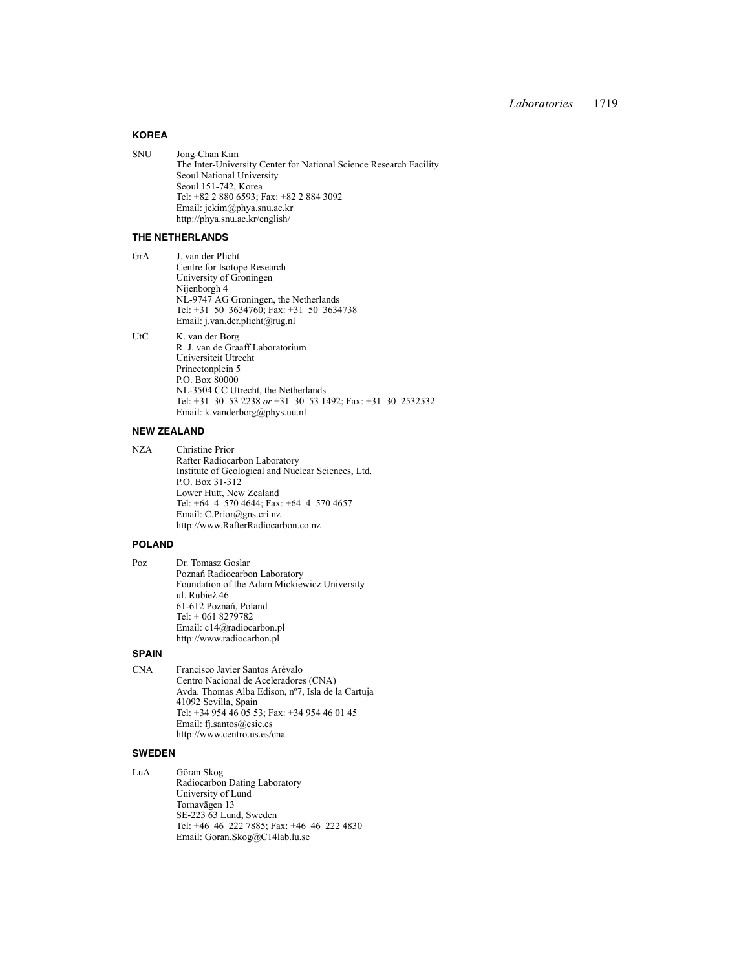## **KOREA**

SNU Jong-Chan Kim The Inter-University Center for National Science Research Facility Seoul National University Seoul 151-742, Korea Tel: +82 2 880 6593; Fax: +82 2 884 3092 Email: jckim@phya.snu.ac.kr http://phya.snu.ac.kr/english/

### **THE NETHERLANDS**

GrA J. van der Plicht Centre for Isotope Research University of Groningen Nijenborgh 4 NL-9747 AG Groningen, the Netherlands Tel: +31 50 3634760; Fax: +31 50 3634738 Email: j.van.der.plicht@rug.nl UtC K. van der Borg

R. J. van de Graaff Laboratorium Universiteit Utrecht Princetonplein 5 P.O. Box 80000 NL-3504 CC Utrecht, the Netherlands Tel: +31 30 53 2238 *or* +31 30 53 1492; Fax: +31 30 2532532 Email: k.vanderborg@phys.uu.nl

### **NEW ZEALAND**

NZA Christine Prior Rafter Radiocarbon Laboratory Institute of Geological and Nuclear Sciences, Ltd. P.O. Box 31-312 Lower Hutt, New Zealand Tel: +64 4 570 4644; Fax: +64 4 570 4657 Email: C.Prior@gns.cri.nz http://www.RafterRadiocarbon.co.nz

#### **POLAND**

Poz Dr. Tomasz Goslar Poznań Radiocarbon Laboratory Foundation of the Adam Mickiewicz University ul. Rubież 46 61-612 Poznań, Poland Tel: + 061 8279782 Email: c14@radiocarbon.pl http://www.radiocarbon.pl

### **SPAIN**

CNA Francisco Javier Santos Arévalo Centro Nacional de Aceleradores (CNA) Avda. Thomas Alba Edison, nº7, Isla de la Cartuja 41092 Sevilla, Spain Tel: +34 954 46 05 53; Fax: +34 954 46 01 45 Email: fj.santos@csic.es http://www.centro.us.es/cna

#### **SWEDEN**

LuA Göran Skog Radiocarbon Dating Laboratory University of Lund Tornavägen 13 SE-223 63 Lund, Sweden Tel: +46 46 222 7885; Fax: +46 46 222 4830 Email: Goran.Skog@C14lab.lu.se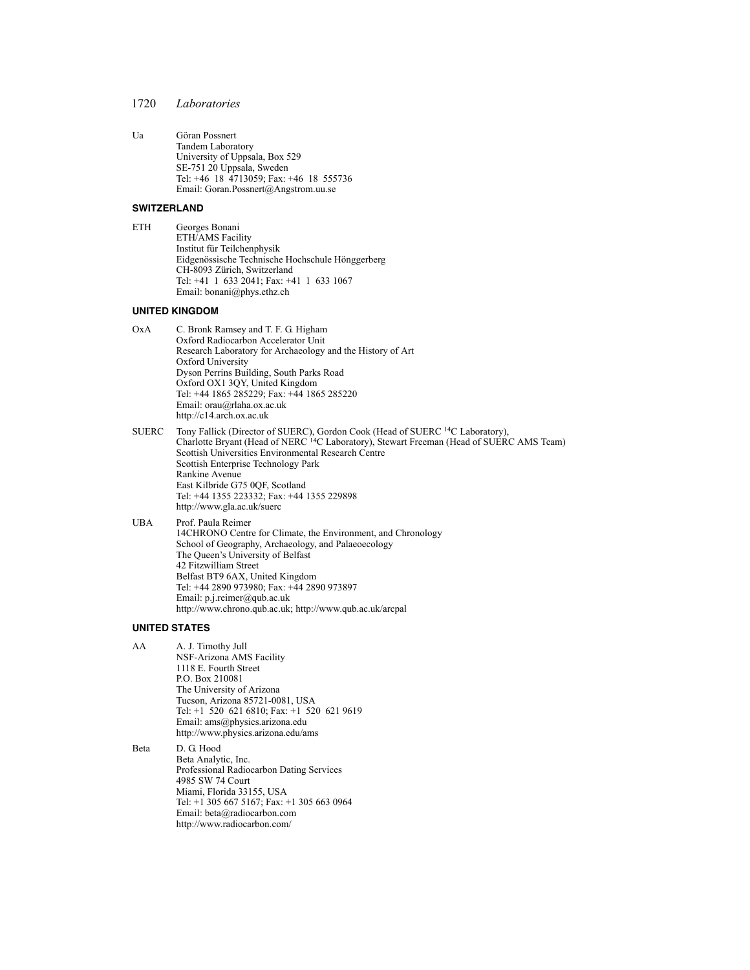Ua Göran Possnert Tandem Laboratory University of Uppsala, Box 529 SE-751 20 Uppsala, Sweden Tel: +46 18 4713059; Fax: +46 18 555736 Email: Goran.Possnert@Angstrom.uu.se

#### **SWITZERLAND**

ETH Georges Bonani ETH/AMS Facility Institut für Teilchenphysik Eidgenössische Technische Hochschule Hönggerberg CH-8093 Zürich, Switzerland Tel: +41 1 633 2041; Fax: +41 1 633 1067 Email: bonani@phys.ethz.ch

### **UNITED KINGDOM**

- OxA C. Bronk Ramsey and T. F. G. Higham Oxford Radiocarbon Accelerator Unit Research Laboratory for Archaeology and the History of Art Oxford University Dyson Perrins Building, South Parks Road Oxford OX1 3QY, United Kingdom Tel: +44 1865 285229; Fax: +44 1865 285220 Email: orau@rlaha.ox.ac.uk http://c14.arch.ox.ac.uk
- SUERC Tony Fallick (Director of SUERC), Gordon Cook (Head of SUERC <sup>14</sup>C Laboratory), Charlotte Bryant (Head of NERC <sup>14</sup>C Laboratory), Stewart Freeman (Head of SUERC AMS Team) Scottish Universities Environmental Research Centre Scottish Enterprise Technology Park Rankine Avenue East Kilbride G75 0QF, Scotland Tel: +44 1355 223332; Fax: +44 1355 229898 http://www.gla.ac.uk/suerc
- UBA Prof. Paula Reimer 14CHRONO Centre for Climate, the Environment, and Chronology School of Geography, Archaeology, and Palaeoecology The Queen's University of Belfast 42 Fitzwilliam Street Belfast BT9 6AX, United Kingdom Tel: +44 2890 973980; Fax: +44 2890 973897 Email: p.j.reimer@qub.ac.uk http://www.chrono.qub.ac.uk; http://www.qub.ac.uk/arcpal

#### **UNITED STATES**

AA A. J. Timothy Jull NSF-Arizona AMS Facility 1118 E. Fourth Street P.O. Box 210081 The University of Arizona Tucson, Arizona 85721-0081, USA Tel: +1 520 621 6810; Fax: +1 520 621 9619 Email: ams@physics.arizona.edu http://www.physics.arizona.edu/ams

Beta D. G. Hood Beta Analytic, Inc. Professional Radiocarbon Dating Services 4985 SW 74 Court Miami, Florida 33155, USA Tel: +1 305 667 5167; Fax: +1 305 663 0964 Email: beta@radiocarbon.com http://www.radiocarbon.com/

<sup>1720</sup> *Laboratories*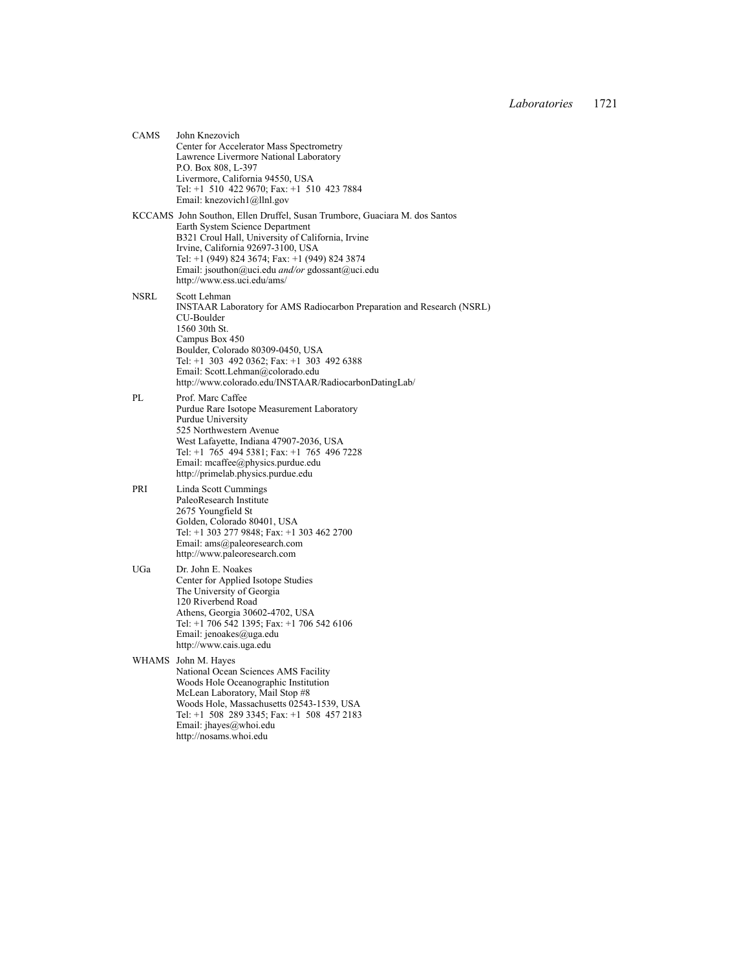CAMS John Knezovich Center for Accelerator Mass Spectrometry Lawrence Livermore National Laboratory P.O. Box 808, L-397 Livermore, California 94550, USA Tel: +1 510 422 9670; Fax: +1 510 423 7884 Email: knezovich1@llnl.gov KCCAMS John Southon, Ellen Druffel, Susan Trumbore, Guaciara M. dos Santos Earth System Science Department B321 Croul Hall, University of California, Irvine Irvine, California 92697-3100, USA Tel: +1 (949) 824 3674; Fax: +1 (949) 824 3874 Email: jsouthon@uci.edu *and/or* gdossant@uci.edu http://www.ess.uci.edu/ams/ NSRL Scott Lehman INSTAAR Laboratory for AMS Radiocarbon Preparation and Research (NSRL) CU-Boulder 1560 30th St. Campus Box 450 Boulder, Colorado 80309-0450, USA Tel: +1 303 492 0362; Fax: +1 303 492 6388 Email: Scott.Lehman@colorado.edu http://www.colorado.edu/INSTAAR/RadiocarbonDatingLab/ PL Prof. Marc Caffee Purdue Rare Isotope Measurement Laboratory Purdue University 525 Northwestern Avenue West Lafayette, Indiana 47907-2036, USA Tel: +1 765 494 5381; Fax: +1 765 496 7228 Email: mcaffee@physics.purdue.edu http://primelab.physics.purdue.edu PRI Linda Scott Cummings PaleoResearch Institute 2675 Youngfield St Golden, Colorado 80401, USA Tel: +1 303 277 9848; Fax: +1 303 462 2700 Email: ams@paleoresearch.com http://www.paleoresearch.com UGa Dr. John E. Noakes Center for Applied Isotope Studies The University of Georgia 120 Riverbend Road Athens, Georgia 30602-4702, USA Tel: +1 706 542 1395; Fax: +1 706 542 6106 Email: jenoakes@uga.edu http://www.cais.uga.edu WHAMS John M. Hayes National Ocean Sciences AMS Facility Woods Hole Oceanographic Institution McLean Laboratory, Mail Stop #8 Woods Hole, Massachusetts 02543-1539, USA Tel: +1 508 289 3345; Fax: +1 508 457 2183 Email: jhayes@whoi.edu http://nosams.whoi.edu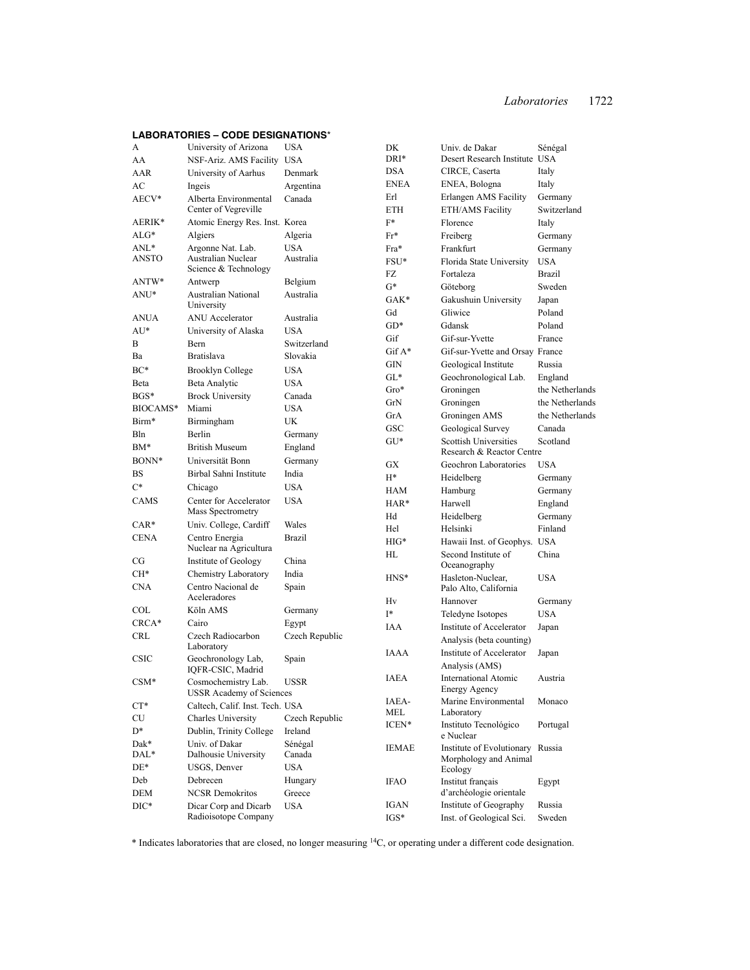# **LABORATORIES – CODE DESIGNATIONS**\*

| A           | University of Arizona                                  | <b>USA</b>     | DK          | Univ. de Dakar                                            | Sénégal         |
|-------------|--------------------------------------------------------|----------------|-------------|-----------------------------------------------------------|-----------------|
| AA          | NSF-Ariz. AMS Facility                                 | <b>USA</b>     | DRI*        | Desert Research Institute USA                             |                 |
| AAR         | University of Aarhus                                   | Denmark        | <b>DSA</b>  | CIRCE, Caserta                                            | Italy           |
| AC          | Ingeis                                                 | Argentina      | ENEA        | ENEA, Bologna                                             | Italy           |
| AECV*       | Alberta Environmental                                  | Canada         | Erl         | <b>Erlangen AMS Facility</b>                              | Germany         |
|             | Center of Vegreville                                   |                | <b>ETH</b>  | ETH/AMS Facility                                          | Switzerland     |
| AERIK*      | Atomic Energy Res. Inst. Korea                         |                | $F^*$       | Florence                                                  | Italy           |
| $ALG*$      | Algiers                                                | Algeria        | Fr*         | Freiberg                                                  | Germany         |
| $ANL^*$     | Argonne Nat. Lab.                                      | <b>USA</b>     | Fra*        | Frankfurt                                                 | Germany         |
| ANSTO       | Australian Nuclear                                     | Australia      | FSU*        | Florida State University                                  | <b>USA</b>      |
|             | Science & Technology                                   |                | FZ          | Fortaleza                                                 | <b>Brazil</b>   |
| ANTW*       | Antwerp                                                | Belgium        | $G^*$       | Göteborg                                                  | Sweden          |
| ANU*        | <b>Australian National</b><br>University               | Australia      | GAK*        | Gakushuin University                                      | Japan           |
| <b>ANUA</b> | <b>ANU</b> Accelerator                                 | Australia      | Gd          | Gliwice                                                   | Poland          |
| $AU^*$      | University of Alaska                                   | <b>USA</b>     | $GD*$       | Gdansk                                                    | Poland          |
| B           | Bern                                                   | Switzerland    | Gif         | Gif-sur-Yvette                                            | France          |
| Ba          | <b>Bratislava</b>                                      | Slovakia       | $Gif A*$    | Gif-sur-Yvette and Orsay France                           |                 |
|             |                                                        |                | GIN         | Geological Institute                                      | Russia          |
| $BC*$       | <b>Brooklyn College</b>                                | <b>USA</b>     | $GL^*$      | Geochronological Lab.                                     | England         |
| Beta        | Beta Analytic                                          | <b>USA</b>     | Gro*        | Groningen                                                 | the Netherlands |
| $BGS*$      | <b>Brock University</b>                                | Canada         | GrN         | Groningen                                                 | the Netherlands |
| BIOCAMS*    | Miami                                                  | <b>USA</b>     | GrA         | Groningen AMS                                             | the Netherlands |
| Birm*       | Birmingham                                             | UK             | GSC         | Geological Survey                                         | Canada          |
| Bln         | Berlin                                                 | Germany        | $GU*$       | <b>Scottish Universities</b>                              | Scotland        |
| $BM*$       | <b>British Museum</b>                                  | England        |             | Research & Reactor Centre                                 |                 |
| BONN*       | Universität Bonn                                       | Germany        | GX          | Geochron Laboratories                                     | <b>USA</b>      |
| BS          | Birbal Sahni Institute                                 | India          | $H^*$       | Heidelberg                                                | Germany         |
| $C^*$       | Chicago                                                | <b>USA</b>     | HAM         | Hamburg                                                   | Germany         |
| CAMS        | Center for Accelerator                                 | <b>USA</b>     | HAR*        | Harwell                                                   | England         |
|             | Mass Spectrometry                                      |                | Hd          | Heidelberg                                                | Germany         |
| $CAR*$      | Univ. College, Cardiff                                 | Wales          | Hel         | Helsinki                                                  | Finland         |
| <b>CENA</b> | Centro Energia<br>Nuclear na Agricultura               | Brazil         | $HIG*$      | Hawaii Inst. of Geophys. USA                              |                 |
| CG          | Institute of Geology                                   | China          | HL          | Second Institute of                                       | China           |
| $CH*$       | Chemistry Laboratory                                   | India          | HNS*        | Oceanography<br>Hasleton-Nuclear,                         | <b>USA</b>      |
| <b>CNA</b>  | Centro Nacional de                                     | Spain          |             | Palo Alto, California                                     |                 |
|             | Aceleradores                                           |                | Hv          | Hannover                                                  | Germany         |
| COL         | Köln AMS                                               | Germany        | I*          | Teledyne Isotopes                                         | <b>USA</b>      |
| CRCA*       | Cairo                                                  | Egypt          | IAA         | Institute of Accelerator                                  | Japan           |
| <b>CRL</b>  | Czech Radiocarbon                                      | Czech Republic |             | Analysis (beta counting)                                  |                 |
| <b>CSIC</b> | Laboratory                                             | Spain          | IAAA        | Institute of Accelerator                                  | Japan           |
|             | Geochronology Lab,<br>IQFR-CSIC, Madrid                |                |             | Analysis (AMS)                                            |                 |
| $CSM*$      | Cosmochemistry Lab.<br><b>USSR</b> Academy of Sciences | <b>USSR</b>    | <b>IAEA</b> | <b>International Atomic</b><br>Energy Agency              | Austria         |
| $CT*$       | Caltech, Calif. Inst. Tech. USA                        |                | IAEA-       | Marine Environmental                                      | Monaco          |
| CU          | Charles University                                     | Czech Republic | MEL         | Laboratory                                                |                 |
| D*          | Dublin, Trinity College                                | Ireland        | ICEN*       | Instituto Tecnológico                                     | Portugal        |
| Dak*        | Univ. of Dakar                                         | Sénégal        |             | e Nuclear                                                 |                 |
| $DAL*$      | Dalhousie University                                   | Canada         | IEMAE       | Institute of Evolutionary Russia<br>Morphology and Animal |                 |
| $DE*$       | <b>USGS, Denver</b>                                    | <b>USA</b>     |             | Ecology                                                   |                 |
| Deb         | Debrecen                                               | Hungary        | <b>IFAO</b> | Institut français                                         | Egypt           |
| DEM         | <b>NCSR</b> Demokritos                                 | Greece         |             | d'archéologie orientale                                   |                 |
| $DIC*$      | Dicar Corp and Dicarb                                  | <b>USA</b>     | IGAN        | Institute of Geography                                    | Russia          |
|             | Radioisotope Company                                   |                | $IGS^*$     | Inst. of Geological Sci.                                  | Sweden          |

\* Indicates laboratories that are closed, no longer measuring 14C, or operating under a different code designation.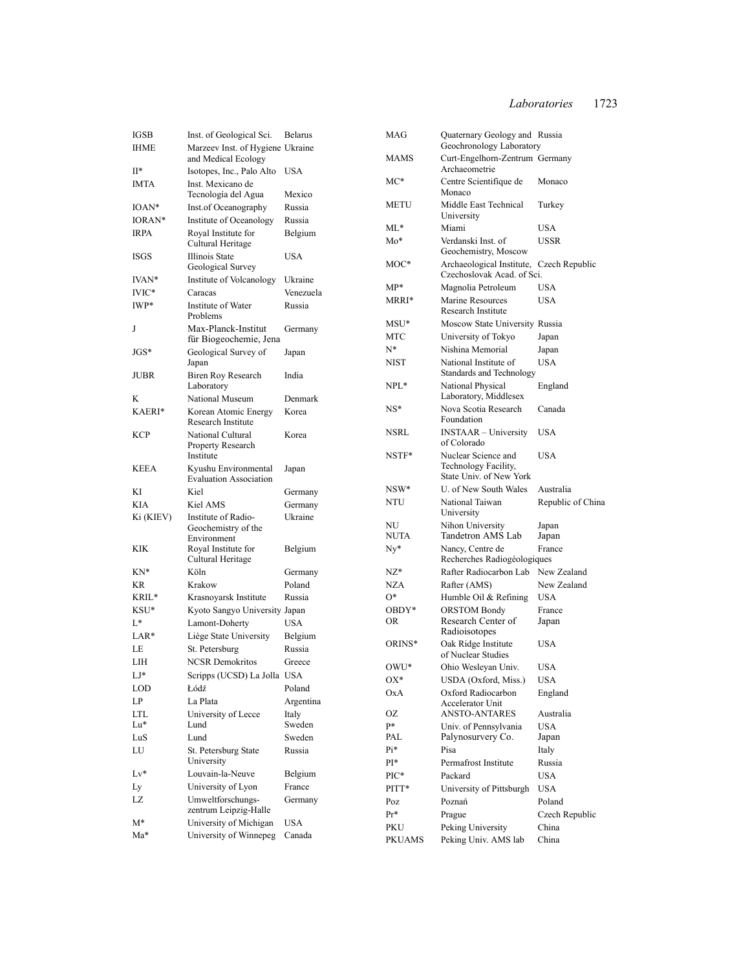| IGSB        | Inst. of Geological Sci.                                | Belarus    |
|-------------|---------------------------------------------------------|------------|
| <b>IHME</b> | Marzeev Inst. of Hygiene Ukraine                        |            |
| II*         | and Medical Ecology<br>Isotopes, Inc., Palo Alto        | <b>USA</b> |
| IMTA        | Inst. Mexicano de                                       |            |
|             | Tecnología del Agua                                     | Mexico     |
| IOAN*       | Inst.of Oceanography                                    | Russia     |
| IORAN*      | Institute of Oceanology                                 | Russia     |
| <b>IRPA</b> | Royal Institute for<br>Cultural Heritage                | Belgium    |
| ISGS        | Illinois State<br>Geological Survey                     | USA        |
| IVAN*       | Institute of Volcanology                                | Ukraine    |
| IVIC*       | Caracas                                                 | Venezuela  |
| IWP*        | Institute of Water<br>Problems                          | Russia     |
| J           | Max-Planck-Institut<br>für Biogeochemie, Jena           | Germany    |
| $JGS*$      | Geological Survey of<br>Japan                           | Japan      |
| JUBR        | Biren Roy Research<br>Laboratory                        | India      |
| K           | National Museum                                         | Denmark    |
| KAERI*      | Korean Atomic Energy<br><b>Research Institute</b>       | Korea      |
| <b>KCP</b>  | National Cultural<br>Property Research<br>Institute     | Korea      |
| KEEA        | Kyushu Environmental<br><b>Evaluation Association</b>   | Japan      |
|             |                                                         |            |
| KI          | Kiel                                                    | Germany    |
| KIA         | Kiel AMS                                                | Germany    |
| Ki (KIEV)   | Institute of Radio-<br>Geochemistry of the              | Ukraine    |
| KIK         | Environment<br>Royal Institute for<br>Cultural Heritage | Belgium    |
| KN*         | Köln                                                    | Germany    |
| KR          | Krakow                                                  | Poland     |
| KRIL*       | Krasnoyarsk Institute                                   | Russia     |
| KSU*        | Kyoto Sangyo University Japan                           |            |
| L*          | Lamont-Doherty                                          | USA        |
| LAR*        | Liège State University                                  | Belgium    |
| LE          | St. Petersburg                                          | Russia     |
| LІН         | <b>NCSR Demokritos</b>                                  | Greece     |
| LJ*         |                                                         |            |
| LOD         | Scripps (UCSD) La Jolla USA<br>Łódź                     | Poland     |
| LP          | La Plata                                                | Argentina  |
| LTL         | University of Lecce                                     | Italy      |
| Lu*         | Lund                                                    | Sweden     |
| LuS         | Lund                                                    | Sweden     |
| LU          | St. Petersburg State<br>University                      | Russia     |
| Lv*         | Louvain-la-Neuve                                        | Belgium    |
| Ly          | University of Lyon                                      | France     |
| LZ          | Umweltforschungs-<br>zentrum Leipzig-Halle              | Germany    |
| M*          | University of Michigan                                  | USA        |

| MAG        | Quaternary Geology and Russia<br>Geochronology Laboratory              |                   |
|------------|------------------------------------------------------------------------|-------------------|
| MAMS       | Curt-Engelhorn-Zentrum Germany<br>Archaeometrie                        |                   |
| MC*        | Centre Scientifique de<br>Monaco                                       | Monaco            |
| METU       | Middle East Technical<br>University                                    | Turkey            |
| ML*        | Miami                                                                  | USA               |
| Mo*        | Verdanski Inst. of<br>Geochemistry, Moscow                             | USSR              |
| MOC*       | Archaeological Institute, Czech Republic<br>Czechoslovak Acad. of Sci. |                   |
| MP*        | Magnolia Petroleum                                                     | USA               |
| MRRI*      | Marine Resources<br>Research Institute                                 | <b>USA</b>        |
| MSU*       | Moscow State University Russia                                         |                   |
| MTC        | University of Tokyo                                                    | Japan             |
| N*         | Nishina Memorial                                                       | Japan             |
| NIST       | National Institute of<br>Standards and Technology                      | <b>USA</b>        |
| NPL*       | National Physical<br>Laboratory, Middlesex                             | England           |
| NS*        | Nova Scotia Research<br>Foundation                                     | Canada            |
| NSRL       | <b>INSTAAR</b> - University<br>of Colorado                             | <b>USA</b>        |
| NSTF*      | Nuclear Science and<br>Technology Facility,<br>State Univ. of New York | <b>USA</b>        |
| NSW*       | U. of New South Wales                                                  | Australia         |
| NTU        | National Taiwan<br>University                                          | Republic of China |
| NU<br>NUTA | Nihon University<br>Tandetron AMS Lab                                  | Japan<br>Japan    |
| Ny*        | Nancy, Centre de<br>Recherches Radiogéologiques                        | France            |
| NZ*        | Rafter Radiocarbon Lab                                                 | New Zealand       |
| NZA        | Rafter (AMS)                                                           | New Zealand       |
| 0*         | Humble Oil & Refining                                                  | USA               |
| OBDY*      | <b>ORSTOM Bondy</b>                                                    | France            |
| OR         | Research Center of<br>Radioisotopes                                    | Japan             |
| ORINS*     | Oak Ridge Institute<br>of Nuclear Studies                              | USA               |
| OWU*       | Ohio Wesleyan Univ.                                                    | USA               |
| OX*        | USDA (Oxford, Miss.)                                                   | USA               |
| OxA        | Oxford Radiocarbon<br>Accelerator Unit                                 | England           |
| OΖ         | <b>ANSTO-ANTARES</b>                                                   | Australia         |
| p*         | Univ. of Pennsylvania                                                  | <b>USA</b>        |
| PAL        |                                                                        |                   |
|            | Palynosurvery Co.                                                      | Japan             |
| Pi*        | Pisa                                                                   | Italy             |
| PI*        | Permafrost Institute                                                   | Russia            |
| PIC*       | Packard                                                                | <b>USA</b>        |
| PITT*      | University of Pittsburgh                                               | <b>USA</b>        |
| Poz        | Poznań                                                                 | Poland            |
| $Pr*$      | Prague                                                                 | Czech Republic    |
| PKU        | Peking University<br>Peking Univ. AMS lab                              | China             |